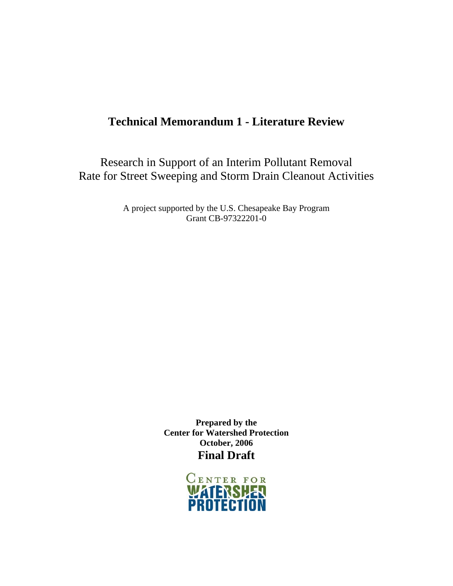# **Technical Memorandum 1 - Literature Review**

Research in Support of an Interim Pollutant Removal Rate for Street Sweeping and Storm Drain Cleanout Activities

> A project supported by the U.S. Chesapeake Bay Program Grant CB-97322201-0

> > **Prepared by the Center for Watershed Protection October, 2006 Final Draft**

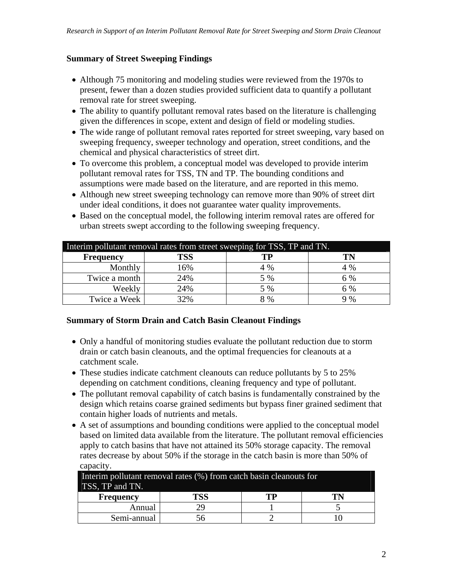### **Summary of Street Sweeping Findings**

- Although 75 monitoring and modeling studies were reviewed from the 1970s to present, fewer than a dozen studies provided sufficient data to quantify a pollutant removal rate for street sweeping.
- The ability to quantify pollutant removal rates based on the literature is challenging given the differences in scope, extent and design of field or modeling studies.
- The wide range of pollutant removal rates reported for street sweeping, vary based on sweeping frequency, sweeper technology and operation, street conditions, and the chemical and physical characteristics of street dirt.
- To overcome this problem, a conceptual model was developed to provide interim pollutant removal rates for TSS, TN and TP. The bounding conditions and assumptions were made based on the literature, and are reported in this memo.
- Although new street sweeping technology can remove more than 90% of street dirt under ideal conditions, it does not guarantee water quality improvements.
- Based on the conceptual model, the following interim removal rates are offered for urban streets swept according to the following sweeping frequency.

| Interim pollutant removal rates from street sweeping for TSS, TP and TN. |            |     |     |  |
|--------------------------------------------------------------------------|------------|-----|-----|--|
| <b>Frequency</b>                                                         | <b>TSS</b> | TP  |     |  |
| Monthly                                                                  | 16%        | 4 % | 4 % |  |
| Twice a month                                                            | 24%        | 5 % | 6 % |  |
| Weekly                                                                   | 24%        | 5 % | 6 % |  |
| Twice a Week                                                             | 32%        | 8 % | 9 % |  |

#### **Summary of Storm Drain and Catch Basin Cleanout Findings**

- Only a handful of monitoring studies evaluate the pollutant reduction due to storm drain or catch basin cleanouts, and the optimal frequencies for cleanouts at a catchment scale.
- These studies indicate catchment cleanouts can reduce pollutants by 5 to 25% depending on catchment conditions, cleaning frequency and type of pollutant.
- The pollutant removal capability of catch basins is fundamentally constrained by the design which retains coarse grained sediments but bypass finer grained sediment that contain higher loads of nutrients and metals.
- A set of assumptions and bounding conditions were applied to the conceptual model based on limited data available from the literature. The pollutant removal efficiencies apply to catch basins that have not attained its 50% storage capacity. The removal rates decrease by about 50% if the storage in the catch basin is more than 50% of capacity.

| Interim pollutant removal rates (%) from catch basin cleanouts for |           |  |  |  |  |  |
|--------------------------------------------------------------------|-----------|--|--|--|--|--|
| TSS, TP and TN.                                                    |           |  |  |  |  |  |
| <b>Frequency</b>                                                   | гss<br>тp |  |  |  |  |  |
| Annual                                                             |           |  |  |  |  |  |
| Semi-annual                                                        |           |  |  |  |  |  |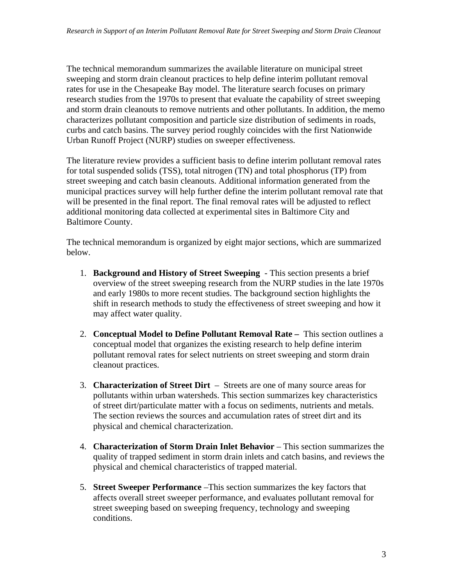The technical memorandum summarizes the available literature on municipal street sweeping and storm drain cleanout practices to help define interim pollutant removal rates for use in the Chesapeake Bay model. The literature search focuses on primary research studies from the 1970s to present that evaluate the capability of street sweeping and storm drain cleanouts to remove nutrients and other pollutants. In addition, the memo characterizes pollutant composition and particle size distribution of sediments in roads, curbs and catch basins. The survey period roughly coincides with the first Nationwide Urban Runoff Project (NURP) studies on sweeper effectiveness.

The literature review provides a sufficient basis to define interim pollutant removal rates for total suspended solids (TSS), total nitrogen (TN) and total phosphorus (TP) from street sweeping and catch basin cleanouts. Additional information generated from the municipal practices survey will help further define the interim pollutant removal rate that will be presented in the final report. The final removal rates will be adjusted to reflect additional monitoring data collected at experimental sites in Baltimore City and Baltimore County.

The technical memorandum is organized by eight major sections, which are summarized below.

- 1. **Background and History of Street Sweeping**  This section presents a brief overview of the street sweeping research from the NURP studies in the late 1970s and early 1980s to more recent studies. The background section highlights the shift in research methods to study the effectiveness of street sweeping and how it may affect water quality.
- 2. **Conceptual Model to Define Pollutant Removal Rate** This section outlines a conceptual model that organizes the existing research to help define interim pollutant removal rates for select nutrients on street sweeping and storm drain cleanout practices.
- 3. **Characterization of Street Dirt** Streets are one of many source areas for pollutants within urban watersheds. This section summarizes key characteristics of street dirt/particulate matter with a focus on sediments, nutrients and metals. The section reviews the sources and accumulation rates of street dirt and its physical and chemical characterization.
- 4. **Characterization of Storm Drain Inlet Behavior**  This section summarizes the quality of trapped sediment in storm drain inlets and catch basins, and reviews the physical and chemical characteristics of trapped material.
- 5. **Street Sweeper Performance** –This section summarizes the key factors that affects overall street sweeper performance, and evaluates pollutant removal for street sweeping based on sweeping frequency, technology and sweeping conditions.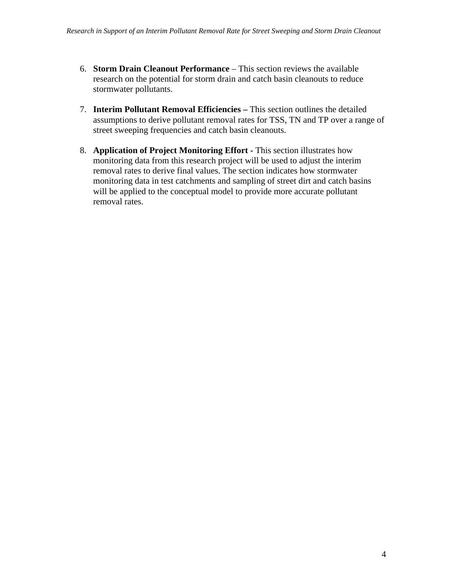- 6. **Storm Drain Cleanout Performance** This section reviews the available research on the potential for storm drain and catch basin cleanouts to reduce stormwater pollutants.
- 7. **Interim Pollutant Removal Efficiencies** This section outlines the detailed assumptions to derive pollutant removal rates for TSS, TN and TP over a range of street sweeping frequencies and catch basin cleanouts.
- 8. **Application of Project Monitoring Effort** This section illustrates how monitoring data from this research project will be used to adjust the interim removal rates to derive final values. The section indicates how stormwater monitoring data in test catchments and sampling of street dirt and catch basins will be applied to the conceptual model to provide more accurate pollutant removal rates.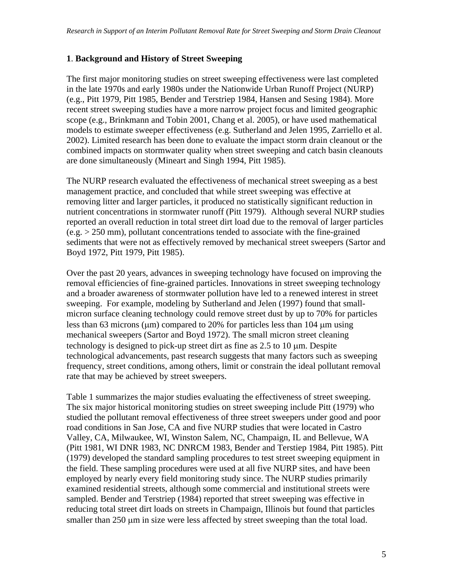#### **1**. **Background and History of Street Sweeping**

The first major monitoring studies on street sweeping effectiveness were last completed in the late 1970s and early 1980s under the Nationwide Urban Runoff Project (NURP) (e.g., Pitt 1979, Pitt 1985, Bender and Terstriep 1984, Hansen and Sesing 1984). More recent street sweeping studies have a more narrow project focus and limited geographic scope (e.g., Brinkmann and Tobin 2001, Chang et al. 2005), or have used mathematical models to estimate sweeper effectiveness (e.g. Sutherland and Jelen 1995, Zarriello et al. 2002). Limited research has been done to evaluate the impact storm drain cleanout or the combined impacts on stormwater quality when street sweeping and catch basin cleanouts are done simultaneously (Mineart and Singh 1994, Pitt 1985).

The NURP research evaluated the effectiveness of mechanical street sweeping as a best management practice, and concluded that while street sweeping was effective at removing litter and larger particles, it produced no statistically significant reduction in nutrient concentrations in stormwater runoff (Pitt 1979). Although several NURP studies reported an overall reduction in total street dirt load due to the removal of larger particles  $(e.g. > 250 \text{ mm})$ , pollutant concentrations tended to associate with the fine-grained sediments that were not as effectively removed by mechanical street sweepers (Sartor and Boyd 1972, Pitt 1979, Pitt 1985).

Over the past 20 years, advances in sweeping technology have focused on improving the removal efficiencies of fine-grained particles. Innovations in street sweeping technology and a broader awareness of stormwater pollution have led to a renewed interest in street sweeping. For example, modeling by Sutherland and Jelen (1997) found that smallmicron surface cleaning technology could remove street dust by up to 70% for particles less than 63 microns (μm) compared to 20% for particles less than 104 μm using mechanical sweepers (Sartor and Boyd 1972). The small micron street cleaning technology is designed to pick-up street dirt as fine as 2.5 to 10 μm. Despite technological advancements, past research suggests that many factors such as sweeping frequency, street conditions, among others, limit or constrain the ideal pollutant removal rate that may be achieved by street sweepers.

Table 1 summarizes the major studies evaluating the effectiveness of street sweeping. The six major historical monitoring studies on street sweeping include Pitt (1979) who studied the pollutant removal effectiveness of three street sweepers under good and poor road conditions in San Jose, CA and five NURP studies that were located in Castro Valley, CA, Milwaukee, WI, Winston Salem, NC, Champaign, IL and Bellevue, WA (Pitt 1981, WI DNR 1983, NC DNRCM 1983, Bender and Terstiep 1984, Pitt 1985). Pitt (1979) developed the standard sampling procedures to test street sweeping equipment in the field. These sampling procedures were used at all five NURP sites, and have been employed by nearly every field monitoring study since. The NURP studies primarily examined residential streets, although some commercial and institutional streets were sampled. Bender and Terstriep (1984) reported that street sweeping was effective in reducing total street dirt loads on streets in Champaign, Illinois but found that particles smaller than 250 μm in size were less affected by street sweeping than the total load.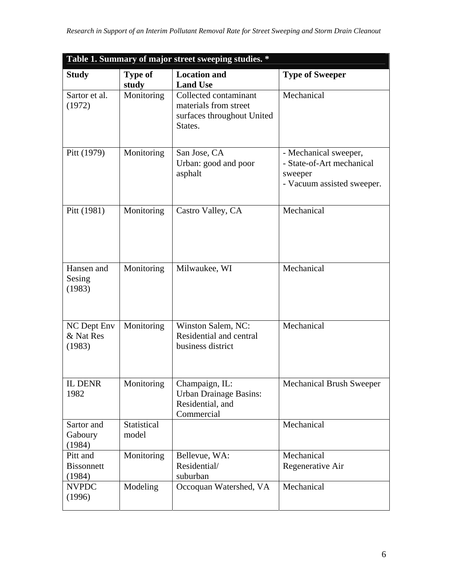| Table 1. Summary of major street sweeping studies. * |                             |                                                                                         |                                                                                             |  |
|------------------------------------------------------|-----------------------------|-----------------------------------------------------------------------------------------|---------------------------------------------------------------------------------------------|--|
| <b>Study</b>                                         | <b>Type of</b><br>study     | <b>Location and</b><br><b>Land Use</b>                                                  | <b>Type of Sweeper</b>                                                                      |  |
| Sartor et al.<br>(1972)                              | Monitoring                  | Collected contaminant<br>materials from street<br>surfaces throughout United<br>States. | Mechanical                                                                                  |  |
| Pitt (1979)                                          | Monitoring                  | San Jose, CA<br>Urban: good and poor<br>asphalt                                         | - Mechanical sweeper,<br>- State-of-Art mechanical<br>sweeper<br>- Vacuum assisted sweeper. |  |
| Pitt (1981)                                          | Monitoring                  | Castro Valley, CA                                                                       | Mechanical                                                                                  |  |
| Hansen and<br>Sesing<br>(1983)                       | Monitoring                  | Milwaukee, WI                                                                           | Mechanical                                                                                  |  |
| NC Dept Env<br>& Nat Res<br>(1983)                   | Monitoring                  | Winston Salem, NC:<br>Residential and central<br>business district                      | Mechanical                                                                                  |  |
| <b>IL DENR</b><br>1982                               | Monitoring                  | Champaign, IL:<br><b>Urban Drainage Basins:</b><br>Residential, and<br>Commercial       | <b>Mechanical Brush Sweeper</b>                                                             |  |
| Sartor and<br>Gaboury<br>(1984)                      | <b>Statistical</b><br>model |                                                                                         | Mechanical                                                                                  |  |
| Pitt and<br><b>Bissonnett</b><br>(1984)              | Monitoring                  | Bellevue, WA:<br>Residential/<br>suburban                                               | Mechanical<br>Regenerative Air                                                              |  |
| <b>NVPDC</b><br>(1996)                               | Modeling                    | Occoquan Watershed, VA                                                                  | Mechanical                                                                                  |  |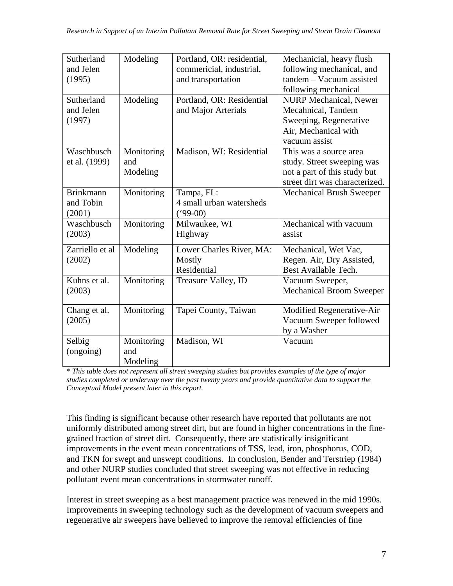| Sutherland<br>and Jelen | Modeling   | Portland, OR: residential,<br>commericial, industrial, | Mechanicial, heavy flush<br>following mechanical, and |
|-------------------------|------------|--------------------------------------------------------|-------------------------------------------------------|
| (1995)                  |            | and transportation                                     | tandem - Vacuum assisted                              |
|                         |            |                                                        | following mechanical                                  |
| Sutherland              | Modeling   | Portland, OR: Residential                              | <b>NURP Mechanical, Newer</b>                         |
| and Jelen               |            | and Major Arterials                                    | Mecahnical, Tandem                                    |
| (1997)                  |            |                                                        | Sweeping, Regenerative                                |
|                         |            |                                                        | Air, Mechanical with                                  |
|                         |            |                                                        | vacuum assist                                         |
| Waschbusch              | Monitoring | Madison, WI: Residential                               | This was a source area                                |
| et al. (1999)           | and        |                                                        | study. Street sweeping was                            |
|                         | Modeling   |                                                        | not a part of this study but                          |
|                         |            |                                                        | street dirt was characterized.                        |
| <b>Brinkmann</b>        | Monitoring | Tampa, FL:                                             | <b>Mechanical Brush Sweeper</b>                       |
| and Tobin               |            | 4 small urban watersheds                               |                                                       |
| (2001)                  |            | $(99-00)$                                              |                                                       |
| Waschbusch              | Monitoring | Milwaukee, WI                                          | Mechanical with vacuum                                |
| (2003)                  |            | Highway                                                | assist                                                |
| Zarriello et al         | Modeling   | Lower Charles River, MA:                               | Mechanical, Wet Vac,                                  |
| (2002)                  |            | Mostly                                                 | Regen. Air, Dry Assisted,                             |
|                         |            | Residential                                            | Best Available Tech.                                  |
| Kuhns et al.            | Monitoring | Treasure Valley, ID                                    | Vacuum Sweeper,                                       |
| (2003)                  |            |                                                        | <b>Mechanical Broom Sweeper</b>                       |
|                         |            |                                                        |                                                       |
| Chang et al.            | Monitoring | Tapei County, Taiwan                                   | Modified Regenerative-Air                             |
| (2005)                  |            |                                                        | Vacuum Sweeper followed                               |
|                         |            |                                                        | by a Washer                                           |
| Selbig                  | Monitoring | Madison, WI                                            | Vacuum                                                |
| (ongoing)               | and        |                                                        |                                                       |
|                         | Modeling   |                                                        |                                                       |

*\* This table does not represent all street sweeping studies but provides examples of the type of major studies completed or underway over the past twenty years and provide quantitative data to support the Conceptual Model present later in this report.* 

This finding is significant because other research have reported that pollutants are not uniformly distributed among street dirt, but are found in higher concentrations in the finegrained fraction of street dirt. Consequently, there are statistically insignificant improvements in the event mean concentrations of TSS, lead, iron, phosphorus, COD, and TKN for swept and unswept conditions. In conclusion, Bender and Terstriep (1984) and other NURP studies concluded that street sweeping was not effective in reducing pollutant event mean concentrations in stormwater runoff.

Interest in street sweeping as a best management practice was renewed in the mid 1990s. Improvements in sweeping technology such as the development of vacuum sweepers and regenerative air sweepers have believed to improve the removal efficiencies of fine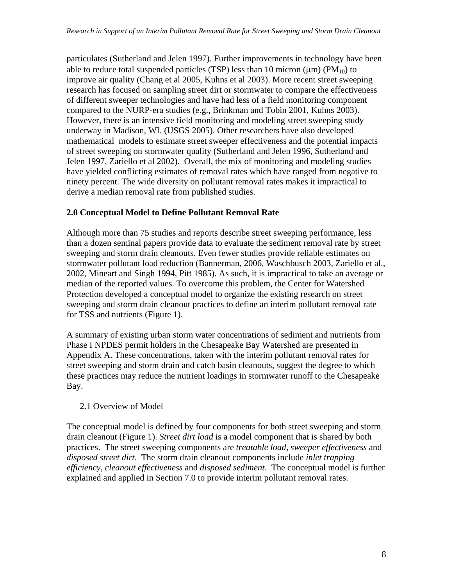particulates (Sutherland and Jelen 1997). Further improvements in technology have been able to reduce total suspended particles (TSP) less than 10 micron ( $\mu$ m) (PM<sub>10</sub>) to improve air quality (Chang et al 2005, Kuhns et al 2003). More recent street sweeping research has focused on sampling street dirt or stormwater to compare the effectiveness of different sweeper technologies and have had less of a field monitoring component compared to the NURP-era studies (e.g., Brinkman and Tobin 2001, Kuhns 2003). However, there is an intensive field monitoring and modeling street sweeping study underway in Madison, WI. (USGS 2005). Other researchers have also developed mathematical models to estimate street sweeper effectiveness and the potential impacts of street sweeping on stormwater quality (Sutherland and Jelen 1996, Sutherland and Jelen 1997, Zariello et al 2002). Overall, the mix of monitoring and modeling studies have yielded conflicting estimates of removal rates which have ranged from negative to ninety percent. The wide diversity on pollutant removal rates makes it impractical to derive a median removal rate from published studies.

### **2.0 Conceptual Model to Define Pollutant Removal Rate**

Although more than 75 studies and reports describe street sweeping performance, less than a dozen seminal papers provide data to evaluate the sediment removal rate by street sweeping and storm drain cleanouts. Even fewer studies provide reliable estimates on stormwater pollutant load reduction (Bannerman, 2006, Waschbusch 2003, Zariello et al., 2002, Mineart and Singh 1994, Pitt 1985). As such, it is impractical to take an average or median of the reported values. To overcome this problem, the Center for Watershed Protection developed a conceptual model to organize the existing research on street sweeping and storm drain cleanout practices to define an interim pollutant removal rate for TSS and nutrients (Figure 1).

A summary of existing urban storm water concentrations of sediment and nutrients from Phase I NPDES permit holders in the Chesapeake Bay Watershed are presented in Appendix A. These concentrations, taken with the interim pollutant removal rates for street sweeping and storm drain and catch basin cleanouts, suggest the degree to which these practices may reduce the nutrient loadings in stormwater runoff to the Chesapeake Bay.

#### 2.1 Overview of Model

The conceptual model is defined by four components for both street sweeping and storm drain cleanout (Figure 1). *Street dirt load* is a model component that is shared by both practices. The street sweeping components are *treatable load, sweeper effectiveness* and *disposed street dirt*. The storm drain cleanout components include *inlet trapping efficiency, cleanout effectiveness* and *disposed sediment*. The conceptual model is further explained and applied in Section 7.0 to provide interim pollutant removal rates.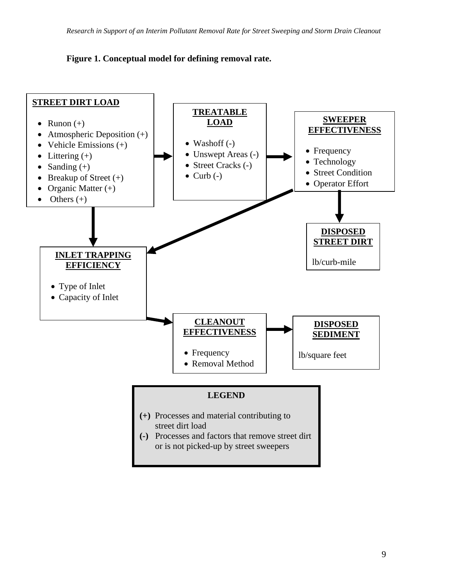#### **Figure 1. Conceptual model for defining removal rate.**

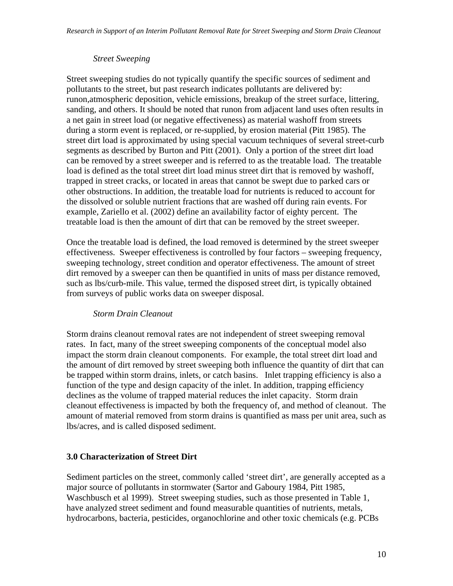#### *Street Sweeping*

Street sweeping studies do not typically quantify the specific sources of sediment and pollutants to the street, but past research indicates pollutants are delivered by: runon,atmospheric deposition, vehicle emissions, breakup of the street surface, littering, sanding, and others. It should be noted that runon from adjacent land uses often results in a net gain in street load (or negative effectiveness) as material washoff from streets during a storm event is replaced, or re-supplied, by erosion material (Pitt 1985). The street dirt load is approximated by using special vacuum techniques of several street-curb segments as described by Burton and Pitt (2001). Only a portion of the street dirt load can be removed by a street sweeper and is referred to as the treatable load. The treatable load is defined as the total street dirt load minus street dirt that is removed by washoff, trapped in street cracks, or located in areas that cannot be swept due to parked cars or other obstructions. In addition, the treatable load for nutrients is reduced to account for the dissolved or soluble nutrient fractions that are washed off during rain events. For example, Zariello et al. (2002) define an availability factor of eighty percent. The treatable load is then the amount of dirt that can be removed by the street sweeper.

Once the treatable load is defined, the load removed is determined by the street sweeper effectiveness. Sweeper effectiveness is controlled by four factors – sweeping frequency, sweeping technology, street condition and operator effectiveness. The amount of street dirt removed by a sweeper can then be quantified in units of mass per distance removed, such as lbs/curb-mile. This value, termed the disposed street dirt, is typically obtained from surveys of public works data on sweeper disposal.

#### *Storm Drain Cleanout*

Storm drains cleanout removal rates are not independent of street sweeping removal rates. In fact, many of the street sweeping components of the conceptual model also impact the storm drain cleanout components. For example, the total street dirt load and the amount of dirt removed by street sweeping both influence the quantity of dirt that can be trapped within storm drains, inlets, or catch basins. Inlet trapping efficiency is also a function of the type and design capacity of the inlet. In addition, trapping efficiency declines as the volume of trapped material reduces the inlet capacity. Storm drain cleanout effectiveness is impacted by both the frequency of, and method of cleanout. The amount of material removed from storm drains is quantified as mass per unit area, such as lbs/acres, and is called disposed sediment.

#### **3.0 Characterization of Street Dirt**

Sediment particles on the street, commonly called 'street dirt', are generally accepted as a major source of pollutants in stormwater (Sartor and Gaboury 1984, Pitt 1985, Waschbusch et al 1999). Street sweeping studies, such as those presented in Table 1, have analyzed street sediment and found measurable quantities of nutrients, metals, hydrocarbons, bacteria, pesticides, organochlorine and other toxic chemicals (e.g. PCBs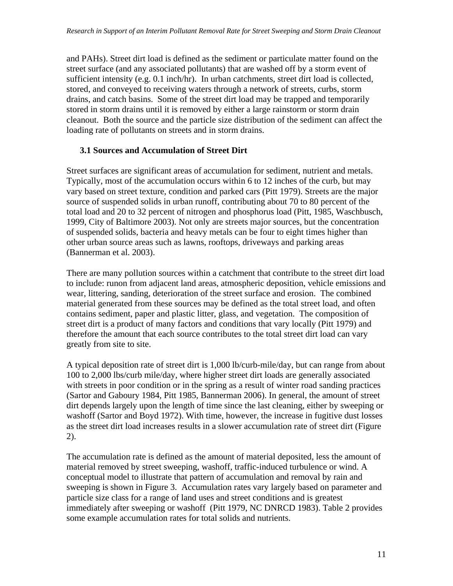and PAHs). Street dirt load is defined as the sediment or particulate matter found on the street surface (and any associated pollutants) that are washed off by a storm event of sufficient intensity (e.g. 0.1 inch/hr). In urban catchments, street dirt load is collected, stored, and conveyed to receiving waters through a network of streets, curbs, storm drains, and catch basins. Some of the street dirt load may be trapped and temporarily stored in storm drains until it is removed by either a large rainstorm or storm drain cleanout. Both the source and the particle size distribution of the sediment can affect the loading rate of pollutants on streets and in storm drains.

### **3.1 Sources and Accumulation of Street Dirt**

Street surfaces are significant areas of accumulation for sediment, nutrient and metals. Typically, most of the accumulation occurs within 6 to 12 inches of the curb, but may vary based on street texture, condition and parked cars (Pitt 1979). Streets are the major source of suspended solids in urban runoff, contributing about 70 to 80 percent of the total load and 20 to 32 percent of nitrogen and phosphorus load (Pitt, 1985, Waschbusch, 1999, City of Baltimore 2003). Not only are streets major sources, but the concentration of suspended solids, bacteria and heavy metals can be four to eight times higher than other urban source areas such as lawns, rooftops, driveways and parking areas (Bannerman et al. 2003).

There are many pollution sources within a catchment that contribute to the street dirt load to include: runon from adjacent land areas, atmospheric deposition, vehicle emissions and wear, littering, sanding, deterioration of the street surface and erosion. The combined material generated from these sources may be defined as the total street load, and often contains sediment, paper and plastic litter, glass, and vegetation. The composition of street dirt is a product of many factors and conditions that vary locally (Pitt 1979) and therefore the amount that each source contributes to the total street dirt load can vary greatly from site to site.

A typical deposition rate of street dirt is 1,000 lb/curb-mile/day, but can range from about 100 to 2,000 lbs/curb mile/day, where higher street dirt loads are generally associated with streets in poor condition or in the spring as a result of winter road sanding practices (Sartor and Gaboury 1984, Pitt 1985, Bannerman 2006). In general, the amount of street dirt depends largely upon the length of time since the last cleaning, either by sweeping or washoff (Sartor and Boyd 1972). With time, however, the increase in fugitive dust losses as the street dirt load increases results in a slower accumulation rate of street dirt (Figure 2).

The accumulation rate is defined as the amount of material deposited, less the amount of material removed by street sweeping, washoff, traffic-induced turbulence or wind. A conceptual model to illustrate that pattern of accumulation and removal by rain and sweeping is shown in Figure 3. Accumulation rates vary largely based on parameter and particle size class for a range of land uses and street conditions and is greatest immediately after sweeping or washoff (Pitt 1979, NC DNRCD 1983). Table 2 provides some example accumulation rates for total solids and nutrients.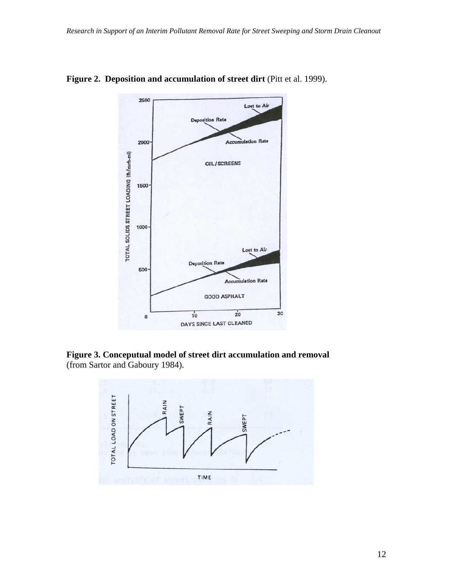

Figure 2. Deposition and accumulation of street dirt (Pitt et al. 1999).

**Figure 3. Conceputual model of street dirt accumulation and removal**  (from Sartor and Gaboury 1984).

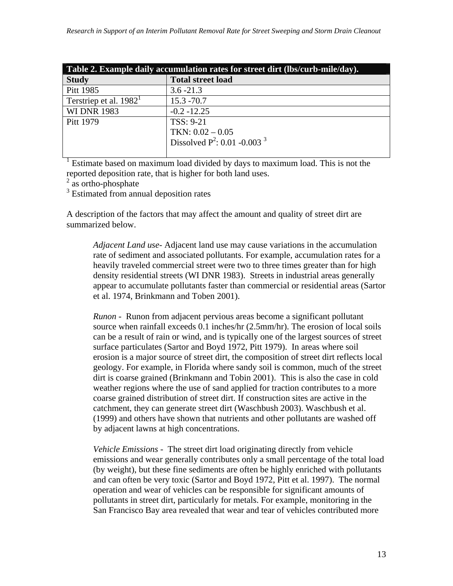| Table 2. Example daily accumulation rates for street dirt (lbs/curb-mile/day). |                                            |  |  |
|--------------------------------------------------------------------------------|--------------------------------------------|--|--|
| <b>Study</b>                                                                   | <b>Total street load</b>                   |  |  |
| Pitt 1985                                                                      | $3.6 - 21.3$                               |  |  |
| Terstriep et al. $19821$                                                       | $15.3 - 70.7$                              |  |  |
| <b>WI DNR 1983</b>                                                             | $-0.2 - 12.25$                             |  |  |
| Pitt 1979                                                                      | TSS: 9-21                                  |  |  |
|                                                                                | TKN: $0.02 - 0.05$                         |  |  |
|                                                                                | Dissolved $P^2$ : 0.01 -0.003 <sup>3</sup> |  |  |
|                                                                                |                                            |  |  |

1 Estimate based on maximum load divided by days to maximum load. This is not the reported deposition rate, that is higher for both land uses.

 $2^{2}$  as ortho-phosphate

<sup>3</sup> Estimated from annual deposition rates

A description of the factors that may affect the amount and quality of street dirt are summarized below.

*Adjacent Land use*- Adjacent land use may cause variations in the accumulation rate of sediment and associated pollutants. For example, accumulation rates for a heavily traveled commercial street were two to three times greater than for high density residential streets (WI DNR 1983). Streets in industrial areas generally appear to accumulate pollutants faster than commercial or residential areas (Sartor et al. 1974, Brinkmann and Toben 2001).

*Runon -* Runon from adjacent pervious areas become a significant pollutant source when rainfall exceeds 0.1 inches/hr (2.5mm/hr). The erosion of local soils can be a result of rain or wind, and is typically one of the largest sources of street surface particulates (Sartor and Boyd 1972, Pitt 1979). In areas where soil erosion is a major source of street dirt, the composition of street dirt reflects local geology. For example, in Florida where sandy soil is common, much of the street dirt is coarse grained (Brinkmann and Tobin 2001). This is also the case in cold weather regions where the use of sand applied for traction contributes to a more coarse grained distribution of street dirt. If construction sites are active in the catchment, they can generate street dirt (Waschbush 2003). Waschbush et al. (1999) and others have shown that nutrients and other pollutants are washed off by adjacent lawns at high concentrations.

*Vehicle Emissions -* The street dirt load originating directly from vehicle emissions and wear generally contributes only a small percentage of the total load (by weight), but these fine sediments are often be highly enriched with pollutants and can often be very toxic (Sartor and Boyd 1972, Pitt et al. 1997). The normal operation and wear of vehicles can be responsible for significant amounts of pollutants in street dirt, particularly for metals. For example, monitoring in the San Francisco Bay area revealed that wear and tear of vehicles contributed more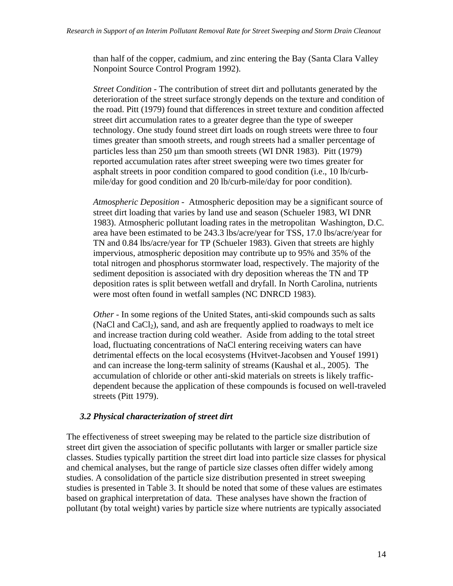than half of the copper, cadmium, and zinc entering the Bay (Santa Clara Valley Nonpoint Source Control Program 1992).

*Street Condition -* The contribution of street dirt and pollutants generated by the deterioration of the street surface strongly depends on the texture and condition of the road. Pitt (1979) found that differences in street texture and condition affected street dirt accumulation rates to a greater degree than the type of sweeper technology. One study found street dirt loads on rough streets were three to four times greater than smooth streets, and rough streets had a smaller percentage of particles less than 250 μm than smooth streets (WI DNR 1983). Pitt (1979) reported accumulation rates after street sweeping were two times greater for asphalt streets in poor condition compared to good condition (i.e., 10 lb/curbmile/day for good condition and 20 lb/curb-mile/day for poor condition).

*Atmospheric Deposition -* Atmospheric deposition may be a significant source of street dirt loading that varies by land use and season (Schueler 1983, WI DNR 1983). Atmospheric pollutant loading rates in the metropolitan Washington, D.C. area have been estimated to be 243.3 lbs/acre/year for TSS, 17.0 lbs/acre/year for TN and 0.84 lbs/acre/year for TP (Schueler 1983). Given that streets are highly impervious, atmospheric deposition may contribute up to 95% and 35% of the total nitrogen and phosphorus stormwater load, respectively. The majority of the sediment deposition is associated with dry deposition whereas the TN and TP deposition rates is split between wetfall and dryfall. In North Carolina, nutrients were most often found in wetfall samples (NC DNRCD 1983).

*Other* - In some regions of the United States, anti-skid compounds such as salts (NaCl and  $CaCl<sub>2</sub>$ ), sand, and ash are frequently applied to roadways to melt ice and increase traction during cold weather. Aside from adding to the total street load, fluctuating concentrations of NaCl entering receiving waters can have detrimental effects on the local ecosystems (Hvitvet-Jacobsen and Yousef 1991) and can increase the long-term salinity of streams (Kaushal et al., 2005). The accumulation of chloride or other anti-skid materials on streets is likely trafficdependent because the application of these compounds is focused on well-traveled streets (Pitt 1979).

#### *3.2 Physical characterization of street dirt*

The effectiveness of street sweeping may be related to the particle size distribution of street dirt given the association of specific pollutants with larger or smaller particle size classes. Studies typically partition the street dirt load into particle size classes for physical and chemical analyses, but the range of particle size classes often differ widely among studies. A consolidation of the particle size distribution presented in street sweeping studies is presented in Table 3. It should be noted that some of these values are estimates based on graphical interpretation of data. These analyses have shown the fraction of pollutant (by total weight) varies by particle size where nutrients are typically associated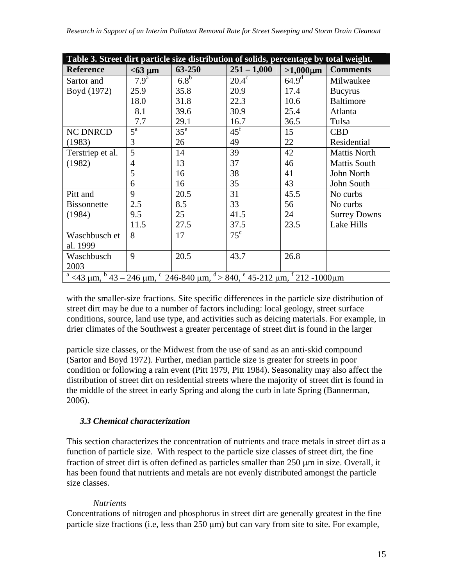| Table 3. Street dirt particle size distribution of solids, percentage by total weight.       |                  |                  |                   |                |                     |
|----------------------------------------------------------------------------------------------|------------------|------------------|-------------------|----------------|---------------------|
| <b>Reference</b>                                                                             | $< 63 \mu m$     | 63-250           | $251 - 1,000$     | $>1,000 \mu m$ | <b>Comments</b>     |
| Sartor and                                                                                   | 7.9 <sup>a</sup> | 6.8 <sup>b</sup> | $20.4^\circ$      | $64.9^{\rm d}$ | Milwaukee           |
| Boyd (1972)                                                                                  | 25.9             | 35.8             | 20.9              | 17.4           | <b>Bucyrus</b>      |
|                                                                                              | 18.0             | 31.8             | 22.3              | 10.6           | <b>Baltimore</b>    |
|                                                                                              | 8.1              | 39.6             | 30.9              | 25.4           | Atlanta             |
|                                                                                              | 7.7              | 29.1             | 16.7              | 36.5           | Tulsa               |
| <b>NC DNRCD</b>                                                                              | $5^{\rm a}$      | 35 <sup>e</sup>  | $45^{\mathrm{f}}$ | 15             | <b>CBD</b>          |
| (1983)                                                                                       | 3                | 26               | 49                | 22             | Residential         |
| Terstriep et al.                                                                             | 5                | 14               | 39                | 42             | <b>Mattis North</b> |
| (1982)                                                                                       | $\overline{4}$   | 13               | 37                | 46             | <b>Mattis South</b> |
|                                                                                              | 5                | 16               | 38                | 41             | John North          |
|                                                                                              | 6                | 16               | 35                | 43             | John South          |
| Pitt and                                                                                     | 9                | 20.5             | 31                | 45.5           | No curbs            |
| <b>Bissonnette</b>                                                                           | 2.5              | 8.5              | 33                | 56             | No curbs            |
| (1984)                                                                                       | 9.5              | 25               | 41.5              | 24             | <b>Surrey Downs</b> |
|                                                                                              | 11.5             | 27.5             | 37.5              | 23.5           | Lake Hills          |
| Waschbusch et                                                                                | 8                | 17               | $75^{\circ}$      |                |                     |
| al. 1999                                                                                     |                  |                  |                   |                |                     |
| Waschbusch                                                                                   | 9                | 20.5             | 43.7              | 26.8           |                     |
| 2003                                                                                         |                  |                  |                   |                |                     |
| $^a$ <43 µm, $^b$ 43 – 246 µm, $^c$ 246-840 µm, $^d$ > 840, $^e$ 45-212 µm, $^f$ 212 -1000µm |                  |                  |                   |                |                     |

with the smaller-size fractions. Site specific differences in the particle size distribution of street dirt may be due to a number of factors including: local geology, street surface conditions, source, land use type, and activities such as deicing materials. For example, in drier climates of the Southwest a greater percentage of street dirt is found in the larger

particle size classes, or the Midwest from the use of sand as an anti-skid compound (Sartor and Boyd 1972). Further, median particle size is greater for streets in poor condition or following a rain event (Pitt 1979, Pitt 1984). Seasonality may also affect the distribution of street dirt on residential streets where the majority of street dirt is found in the middle of the street in early Spring and along the curb in late Spring (Bannerman, 2006).

## *3.3 Chemical characterization*

This section characterizes the concentration of nutrients and trace metals in street dirt as a function of particle size. With respect to the particle size classes of street dirt, the fine fraction of street dirt is often defined as particles smaller than 250 μm in size. Overall, it has been found that nutrients and metals are not evenly distributed amongst the particle size classes.

#### *Nutrients*

Concentrations of nitrogen and phosphorus in street dirt are generally greatest in the fine particle size fractions (i.e, less than 250 μm) but can vary from site to site. For example,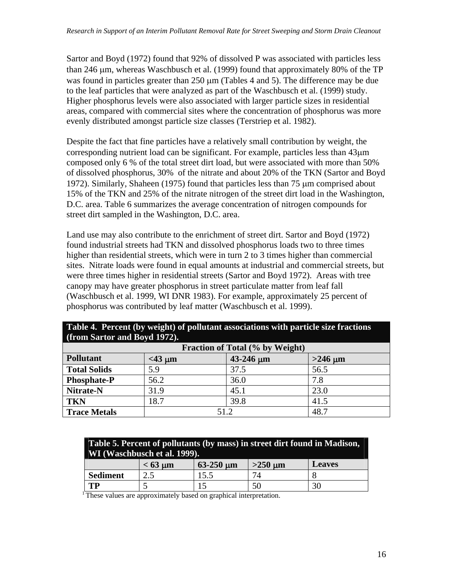Sartor and Boyd (1972) found that 92% of dissolved P was associated with particles less than 246 μm, whereas Waschbusch et al. (1999) found that approximately 80% of the TP was found in particles greater than 250 μm (Tables 4 and 5). The difference may be due to the leaf particles that were analyzed as part of the Waschbusch et al. (1999) study. Higher phosphorus levels were also associated with larger particle sizes in residential areas, compared with commercial sites where the concentration of phosphorus was more evenly distributed amongst particle size classes (Terstriep et al. 1982).

Despite the fact that fine particles have a relatively small contribution by weight, the corresponding nutrient load can be significant. For example, particles less than 43μm composed only 6 % of the total street dirt load, but were associated with more than 50% of dissolved phosphorus, 30% of the nitrate and about 20% of the TKN (Sartor and Boyd 1972). Similarly, Shaheen (1975) found that particles less than 75 μm comprised about 15% of the TKN and 25% of the nitrate nitrogen of the street dirt load in the Washington, D.C. area. Table 6 summarizes the average concentration of nitrogen compounds for street dirt sampled in the Washington, D.C. area.

Land use may also contribute to the enrichment of street dirt. Sartor and Boyd (1972) found industrial streets had TKN and dissolved phosphorus loads two to three times higher than residential streets, which were in turn 2 to 3 times higher than commercial sites. Nitrate loads were found in equal amounts at industrial and commercial streets, but were three times higher in residential streets (Sartor and Boyd 1972). Areas with tree canopy may have greater phosphorus in street particulate matter from leaf fall (Waschbusch et al. 1999, WI DNR 1983). For example, approximately 25 percent of phosphorus was contributed by leaf matter (Waschbusch et al. 1999).

| $\left  \right $ (Hom sartor and Dovu 1772). |                                            |      |      |  |  |  |
|----------------------------------------------|--------------------------------------------|------|------|--|--|--|
| <b>Fraction of Total (% by Weight)</b>       |                                            |      |      |  |  |  |
| Pollutant                                    | $43 - 246$ um<br>$>246 \mu m$<br>$<$ 43 µm |      |      |  |  |  |
| <b>Total Solids</b>                          | 5.9                                        | 37.5 | 56.5 |  |  |  |
| <b>Phosphate-P</b>                           | 56.2                                       | 36.0 | 7.8  |  |  |  |
| Nitrate-N                                    | 31.9                                       | 45.1 | 23.0 |  |  |  |
| <b>TKN</b>                                   | 18.7                                       | 39.8 | 41.5 |  |  |  |
| <b>Trace Metals</b>                          | 51.2                                       | 48.7 |      |  |  |  |

#### **Table 4. Percent (by weight) of pollutant associations with particle size fractions (from Sartor and Boyd 1972).**

| Table 5. Percent of pollutants (by mass) in street dirt found in Madison,<br>WI (Waschbusch et al. 1999). |                            |                |              |               |
|-----------------------------------------------------------------------------------------------------------|----------------------------|----------------|--------------|---------------|
|                                                                                                           | $< 63 \text{ }\mu\text{m}$ | $63-250 \mu m$ | $>250 \mu m$ | <b>Leaves</b> |
| <b>Sediment</b>                                                                                           | 2.5                        | 15.5           |              |               |
| TP                                                                                                        |                            |                | 50           | 30            |

<sup>1</sup> These values are approximately based on graphical interpretation.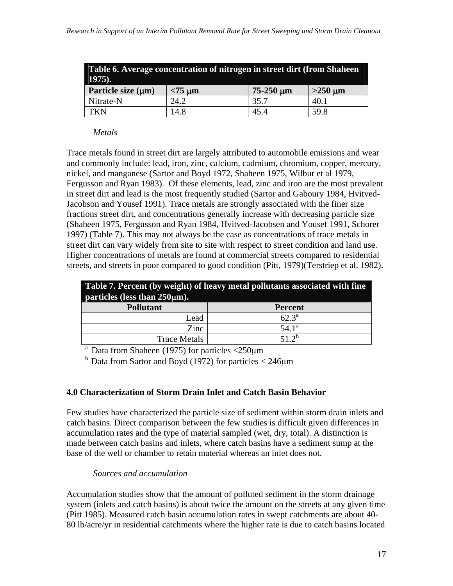| Table 6. Average concentration of nitrogen in street dirt (from Shaheen<br>$1975$ ). |              |                  |              |  |
|--------------------------------------------------------------------------------------|--------------|------------------|--------------|--|
| Particle size $(\mu m)$                                                              | $< 75 \mu m$ | $75 - 250 \mu m$ | $>250 \mu m$ |  |
| Nitrate-N                                                                            | 24.2         | 35.7             | 40.1         |  |
| <b>TKN</b>                                                                           | 14.8         | 45.4             | 59.8         |  |

#### *Metals*

Trace metals found in street dirt are largely attributed to automobile emissions and wear and commonly include: lead, iron, zinc, calcium, cadmium, chromium, copper, mercury, nickel, and manganese (Sartor and Boyd 1972, Shaheen 1975, Wilbur et al 1979, Fergusson and Ryan 1983). Of these elements, lead, zinc and iron are the most prevalent in street dirt and lead is the most frequently studied (Sartor and Gaboury 1984, Hvitved-Jacobson and Yousef 1991). Trace metals are strongly associated with the finer size fractions street dirt, and concentrations generally increase with decreasing particle size (Shaheen 1975, Fergusson and Ryan 1984, Hvitved-Jacobsen and Yousef 1991, Schorer 1997) (Table 7). This may not always be the case as concentrations of trace metals in street dirt can vary widely from site to site with respect to street condition and land use. Higher concentrations of metals are found at commercial streets compared to residential streets, and streets in poor compared to good condition (Pitt, 1979)(Terstriep et al. 1982).

| Table 7. Percent (by weight) of heavy metal pollutants associated with fine<br>particles (less than $250 \mu m$ ). |                   |  |  |  |
|--------------------------------------------------------------------------------------------------------------------|-------------------|--|--|--|
| <b>Pollutant</b><br><b>Percent</b>                                                                                 |                   |  |  |  |
| Lead                                                                                                               | $62.3^{\text{a}}$ |  |  |  |
| Zinc                                                                                                               | $54.1^{\rm a}$    |  |  |  |
| <b>Trace Metals</b>                                                                                                | 51 $2^b$          |  |  |  |

<sup>a</sup> Data from Shaheen (1975) for particles  $\langle 250 \mu m$ 

 $<sup>b</sup>$  Data from Sartor and Boyd (1972) for particles  $<$  246 $\mu$ m</sup>

#### **4.0 Characterization of Storm Drain Inlet and Catch Basin Behavior**

Few studies have characterized the particle size of sediment within storm drain inlets and catch basins. Direct comparison between the few studies is difficult given differences in accumulation rates and the type of material sampled (wet, dry, total). A distinction is made between catch basins and inlets, where catch basins have a sediment sump at the base of the well or chamber to retain material whereas an inlet does not.

#### *Sources and accumulation*

Accumulation studies show that the amount of polluted sediment in the storm drainage system (inlets and catch basins) is about twice the amount on the streets at any given time (Pitt 1985). Measured catch basin accumulation rates in swept catchments are about 40- 80 lb/acre/yr in residential catchments where the higher rate is due to catch basins located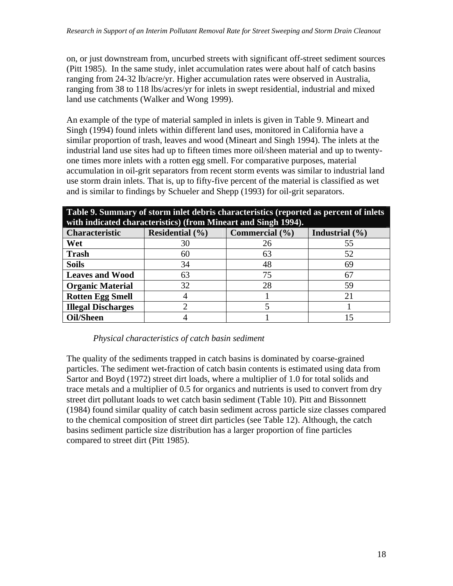on, or just downstream from, uncurbed streets with significant off-street sediment sources (Pitt 1985). In the same study, inlet accumulation rates were about half of catch basins ranging from 24-32 lb/acre/yr. Higher accumulation rates were observed in Australia, ranging from 38 to 118 lbs/acres/yr for inlets in swept residential, industrial and mixed land use catchments (Walker and Wong 1999).

An example of the type of material sampled in inlets is given in Table 9. Mineart and Singh (1994) found inlets within different land uses, monitored in California have a similar proportion of trash, leaves and wood (Mineart and Singh 1994). The inlets at the industrial land use sites had up to fifteen times more oil/sheen material and up to twentyone times more inlets with a rotten egg smell. For comparative purposes, material accumulation in oil-grit separators from recent storm events was similar to industrial land use storm drain inlets. That is, up to fifty-five percent of the material is classified as wet and is similar to findings by Schueler and Shepp (1993) for oil-grit separators.

**Table 9. Summary of storm inlet debris characteristics (reported as percent of inlets with indicated characteristics) (from Mineart and Singh 1994).** 

| with indicated characteristics) (from infined cand single 1774). |                     |                            |                    |  |  |
|------------------------------------------------------------------|---------------------|----------------------------|--------------------|--|--|
| <b>Characteristic</b>                                            | Residential $(\% )$ | Commercial $(\frac{9}{6})$ | Industrial $(\% )$ |  |  |
| Wet                                                              | 30                  | 26                         | 55                 |  |  |
| <b>Trash</b>                                                     | 60                  | 63                         | 52                 |  |  |
| <b>Soils</b>                                                     | 34                  | 48                         | 69                 |  |  |
| <b>Leaves and Wood</b>                                           | 63                  | 75                         |                    |  |  |
| <b>Organic Material</b>                                          | 32                  | 28                         | 59                 |  |  |
| <b>Rotten Egg Smell</b>                                          |                     |                            |                    |  |  |
| <b>Illegal Discharges</b>                                        |                     |                            |                    |  |  |
| <b>Oil/Sheen</b>                                                 |                     |                            |                    |  |  |

#### *Physical characteristics of catch basin sediment*

The quality of the sediments trapped in catch basins is dominated by coarse-grained particles. The sediment wet-fraction of catch basin contents is estimated using data from Sartor and Boyd (1972) street dirt loads, where a multiplier of 1.0 for total solids and trace metals and a multiplier of 0.5 for organics and nutrients is used to convert from dry street dirt pollutant loads to wet catch basin sediment (Table 10). Pitt and Bissonnett (1984) found similar quality of catch basin sediment across particle size classes compared to the chemical composition of street dirt particles (see Table 12). Although, the catch basins sediment particle size distribution has a larger proportion of fine particles compared to street dirt (Pitt 1985).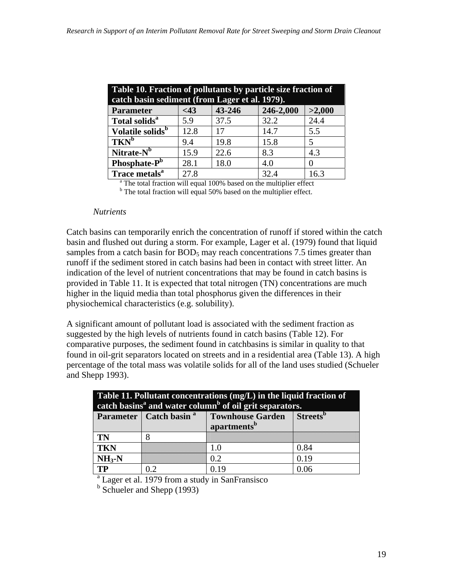| Table 10. Fraction of pollutants by particle size fraction of<br>catch basin sediment (from Lager et al. 1979). |                                         |      |      |      |  |  |  |
|-----------------------------------------------------------------------------------------------------------------|-----------------------------------------|------|------|------|--|--|--|
| <b>Parameter</b>                                                                                                | 43-246<br>246-2,000<br>>2,000<br>$<$ 43 |      |      |      |  |  |  |
| Total solids <sup>a</sup>                                                                                       | 5.9                                     | 37.5 | 32.2 | 24.4 |  |  |  |
| Volatile solids <sup>b</sup>                                                                                    | 12.8                                    | 17   | 14.7 | 5.5  |  |  |  |
| $TKN^b$                                                                                                         | 9.4                                     | 19.8 | 15.8 | 5    |  |  |  |
| Nitrate-N <sup>b</sup>                                                                                          | 15.9                                    | 22.6 | 8.3  | 4.3  |  |  |  |
| Phosphate-P <sup>b</sup>                                                                                        | 28.1                                    | 18.0 | 4.0  | 0    |  |  |  |
| Trace metals <sup>a</sup><br>27.8<br>32.4<br>16.3                                                               |                                         |      |      |      |  |  |  |
| <sup>a</sup> The total fraction will equal 100% based on the multiplier effect                                  |                                         |      |      |      |  |  |  |

<sup>b</sup> The total fraction will equal 50% based on the multiplier effect.

#### *Nutrients*

Catch basins can temporarily enrich the concentration of runoff if stored within the catch basin and flushed out during a storm. For example, Lager et al. (1979) found that liquid samples from a catch basin for  $BOD<sub>5</sub>$  may reach concentrations 7.5 times greater than runoff if the sediment stored in catch basins had been in contact with street litter. An indication of the level of nutrient concentrations that may be found in catch basins is provided in Table 11. It is expected that total nitrogen (TN) concentrations are much higher in the liquid media than total phosphorus given the differences in their physiochemical characteristics (e.g. solubility).

A significant amount of pollutant load is associated with the sediment fraction as suggested by the high levels of nutrients found in catch basins (Table 12). For comparative purposes, the sediment found in catchbasins is similar in quality to that found in oil-grit separators located on streets and in a residential area (Table 13). A high percentage of the total mass was volatile solids for all of the land uses studied (Schueler and Shepp 1993).

| Table 11. Pollutant concentrations (mg/L) in the liquid fraction of<br>catch basins <sup>a</sup> and water column <sup>b</sup> of oil grit separators. |                                                             |     |      |  |  |  |
|--------------------------------------------------------------------------------------------------------------------------------------------------------|-------------------------------------------------------------|-----|------|--|--|--|
| <b>Townhouse Garden</b> Streets <sup>b</sup><br>Parameter   Catch basin <sup>a</sup><br>apartments <sup>b</sup>                                        |                                                             |     |      |  |  |  |
| <b>TN</b>                                                                                                                                              |                                                             |     |      |  |  |  |
| <b>TKN</b>                                                                                                                                             |                                                             | 10  | 0.84 |  |  |  |
| $NH3-N$                                                                                                                                                |                                                             | 0.2 | 0.19 |  |  |  |
| <b>TP</b><br>0.06<br>0.19<br>0.2                                                                                                                       |                                                             |     |      |  |  |  |
|                                                                                                                                                        | <sup>a</sup> Lager et al. 1979 from a study in SanFransisco |     |      |  |  |  |

<sup>b</sup> Schueler and Shepp (1993)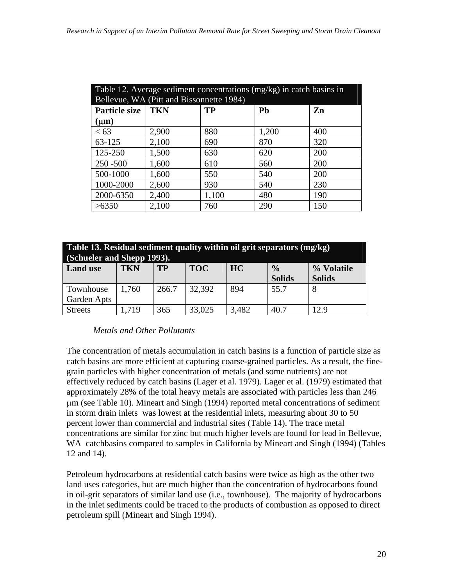| Table 12. Average sediment concentrations $(mg/kg)$ in catch basins in |                                          |           |       |     |  |  |
|------------------------------------------------------------------------|------------------------------------------|-----------|-------|-----|--|--|
|                                                                        | Bellevue, WA (Pitt and Bissonnette 1984) |           |       |     |  |  |
| <b>Particle size</b>                                                   | <b>TKN</b>                               | <b>TP</b> | Pb    | Zn  |  |  |
| $(\mu m)$                                                              |                                          |           |       |     |  |  |
| <63                                                                    | 2,900                                    | 880       | 1,200 | 400 |  |  |
| 63-125                                                                 | 2,100                                    | 690       | 870   | 320 |  |  |
| 125-250                                                                | 1,500                                    | 630       | 620   | 200 |  |  |
| $250 - 500$                                                            | 1,600                                    | 610       | 560   | 200 |  |  |
| 500-1000                                                               | 1,600                                    | 550       | 540   | 200 |  |  |
| 1000-2000                                                              | 2,600                                    | 930       | 540   | 230 |  |  |
| 2000-6350                                                              | 2,400                                    | 1,100     | 480   | 190 |  |  |
| >6350                                                                  | 2,100                                    | 760       | 290   | 150 |  |  |

| Table 13. Residual sediment quality within oil grit separators (mg/kg)<br>(Schueler and Shepp 1993). |       |       |        |       |               |               |  |  |
|------------------------------------------------------------------------------------------------------|-------|-------|--------|-------|---------------|---------------|--|--|
| <b>TP</b><br><b>TKN</b><br>HC<br>$\frac{0}{0}$<br><b>Land use</b><br><b>TOC</b><br>% Volatile        |       |       |        |       |               |               |  |  |
|                                                                                                      |       |       |        |       | <b>Solids</b> | <b>Solids</b> |  |  |
| Townhouse                                                                                            | 1,760 | 266.7 | 32,392 | 894   | 55.7          | 8             |  |  |
| Garden Apts                                                                                          |       |       |        |       |               |               |  |  |
| <b>Streets</b>                                                                                       | 1,719 | 365   | 33,025 | 3,482 | 40.7          | 12.9          |  |  |

#### *Metals and Other Pollutants*

The concentration of metals accumulation in catch basins is a function of particle size as catch basins are more efficient at capturing coarse-grained particles. As a result, the finegrain particles with higher concentration of metals (and some nutrients) are not effectively reduced by catch basins (Lager et al. 1979). Lager et al. (1979) estimated that approximately 28% of the total heavy metals are associated with particles less than 246 μm (see Table 10). Mineart and Singh (1994) reported metal concentrations of sediment in storm drain inlets was lowest at the residential inlets, measuring about 30 to 50 percent lower than commercial and industrial sites (Table 14). The trace metal concentrations are similar for zinc but much higher levels are found for lead in Bellevue, WA catchbasins compared to samples in California by Mineart and Singh (1994) (Tables 12 and 14).

Petroleum hydrocarbons at residential catch basins were twice as high as the other two land uses categories, but are much higher than the concentration of hydrocarbons found in oil-grit separators of similar land use (i.e., townhouse). The majority of hydrocarbons in the inlet sediments could be traced to the products of combustion as opposed to direct petroleum spill (Mineart and Singh 1994).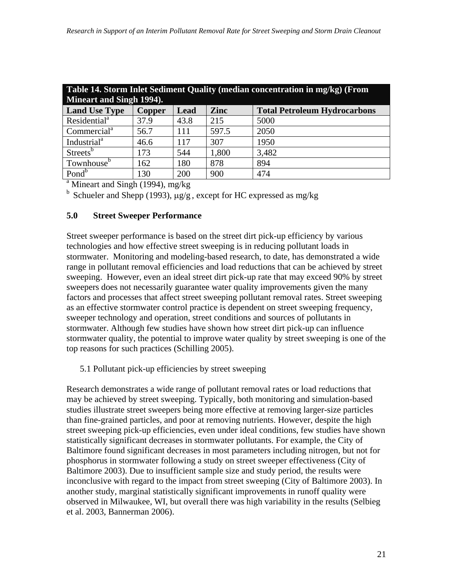| Table 14. Storm Inlet Sediment Quality (median concentration in mg/kg) (From |                                                                      |      |       |       |  |  |  |  |  |
|------------------------------------------------------------------------------|----------------------------------------------------------------------|------|-------|-------|--|--|--|--|--|
| Mineart and Singh 1994).                                                     |                                                                      |      |       |       |  |  |  |  |  |
| <b>Land Use Type</b>                                                         | <b>Zinc</b><br><b>Total Petroleum Hydrocarbons</b><br>Lead<br>Copper |      |       |       |  |  |  |  |  |
| Residential <sup>a</sup>                                                     | 37.9                                                                 | 43.8 | 215   | 5000  |  |  |  |  |  |
| Commercial <sup>a</sup>                                                      | 56.7                                                                 | 111  | 597.5 | 2050  |  |  |  |  |  |
| Industrial <sup>a</sup>                                                      | 46.6                                                                 | 117  | 307   | 1950  |  |  |  |  |  |
| Streets <sup>b</sup>                                                         | 173                                                                  | 544  | 1,800 | 3,482 |  |  |  |  |  |
| Townhouse <sup>b</sup>                                                       | 878<br>180<br>894<br>162                                             |      |       |       |  |  |  |  |  |
| Pond <sup>b</sup>                                                            | 130                                                                  | 200  | 900   | 474   |  |  |  |  |  |
| $^{\rm a}$ Mineart and Singh (1994), mg/kg                                   |                                                                      |      |       |       |  |  |  |  |  |

b Schueler and Shepp (1993),  $\mu$ g/g, except for HC expressed as mg/kg

#### **5.0 Street Sweeper Performance**

Street sweeper performance is based on the street dirt pick-up efficiency by various technologies and how effective street sweeping is in reducing pollutant loads in stormwater. Monitoring and modeling-based research, to date, has demonstrated a wide range in pollutant removal efficiencies and load reductions that can be achieved by street sweeping. However, even an ideal street dirt pick-up rate that may exceed 90% by street sweepers does not necessarily guarantee water quality improvements given the many factors and processes that affect street sweeping pollutant removal rates. Street sweeping as an effective stormwater control practice is dependent on street sweeping frequency, sweeper technology and operation, street conditions and sources of pollutants in stormwater. Although few studies have shown how street dirt pick-up can influence stormwater quality, the potential to improve water quality by street sweeping is one of the top reasons for such practices (Schilling 2005).

5.1 Pollutant pick-up efficiencies by street sweeping

Research demonstrates a wide range of pollutant removal rates or load reductions that may be achieved by street sweeping. Typically, both monitoring and simulation-based studies illustrate street sweepers being more effective at removing larger-size particles than fine-grained particles, and poor at removing nutrients. However, despite the high street sweeping pick-up efficiencies, even under ideal conditions, few studies have shown statistically significant decreases in stormwater pollutants. For example, the City of Baltimore found significant decreases in most parameters including nitrogen, but not for phosphorus in stormwater following a study on street sweeper effectiveness (City of Baltimore 2003). Due to insufficient sample size and study period, the results were inconclusive with regard to the impact from street sweeping (City of Baltimore 2003). In another study, marginal statistically significant improvements in runoff quality were observed in Milwaukee, WI, but overall there was high variability in the results (Selbieg et al. 2003, Bannerman 2006).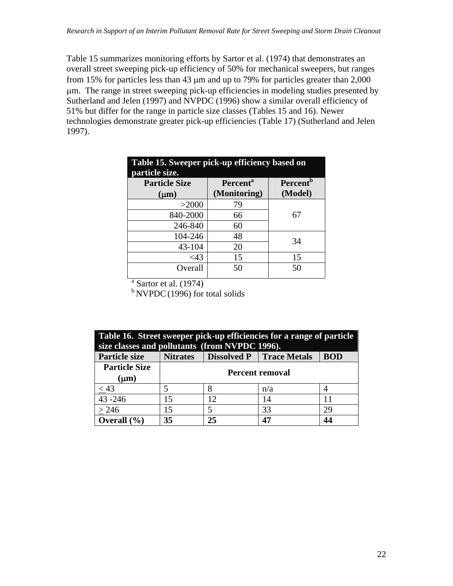Table 15 summarizes monitoring efforts by Sartor et al. (1974) that demonstrates an overall street sweeping pick-up efficiency of 50% for mechanical sweepers, but ranges from 15% for particles less than 43 μm and up to 79% for particles greater than 2,000 μm. The range in street sweeping pick-up efficiencies in modeling studies presented by Sutherland and Jelen (1997) and NVPDC (1996) show a similar overall efficiency of 51% but differ for the range in particle size classes (Tables 15 and 16). Newer technologies demonstrate greater pick-up efficiencies (Table 17) (Sutherland and Jelen 1997).

| Table 15. Sweeper pick-up efficiency based on<br>particle size. |                             |                             |  |  |  |
|-----------------------------------------------------------------|-----------------------------|-----------------------------|--|--|--|
| <b>Particle Size</b>                                            | <b>Percent</b> <sup>a</sup> | <b>Percent</b> <sup>b</sup> |  |  |  |
| $(\mu m)$                                                       | (Monitoring)                | (Model)                     |  |  |  |
| >2000                                                           | 79                          |                             |  |  |  |
| 840-2000                                                        | 66                          | 67                          |  |  |  |
| 246-840                                                         | 60                          |                             |  |  |  |
| 104-246                                                         | 48                          | 34                          |  |  |  |
| 43-104                                                          | 20                          |                             |  |  |  |
| $<$ 43                                                          | 15                          | 15                          |  |  |  |
| Overall                                                         | 50                          | 50                          |  |  |  |

 $a<sup>a</sup>$  Sartor et al. (1974)

 $b$  NVPDC (1996) for total solids

| Table 16. Street sweeper pick-up efficiencies for a range of particle |                        |                                                                                                   |     |    |  |  |  |
|-----------------------------------------------------------------------|------------------------|---------------------------------------------------------------------------------------------------|-----|----|--|--|--|
| <b>Particle size</b>                                                  | <b>Nitrates</b>        | size classes and pollutants (from NVPDC 1996).<br><b>Dissolved P</b>   Trace Metals<br><b>BOD</b> |     |    |  |  |  |
| <b>Particle Size</b><br>$(\mu m)$                                     | <b>Percent removal</b> |                                                                                                   |     |    |  |  |  |
| $\frac{\leq 43}{43 - 246}$                                            |                        |                                                                                                   | n/a |    |  |  |  |
|                                                                       | 15                     | 12                                                                                                | 14  | 11 |  |  |  |
| > 246                                                                 | 15                     | 33<br>29                                                                                          |     |    |  |  |  |
| Overall $(\% )$                                                       | 35                     | 25                                                                                                |     | 44 |  |  |  |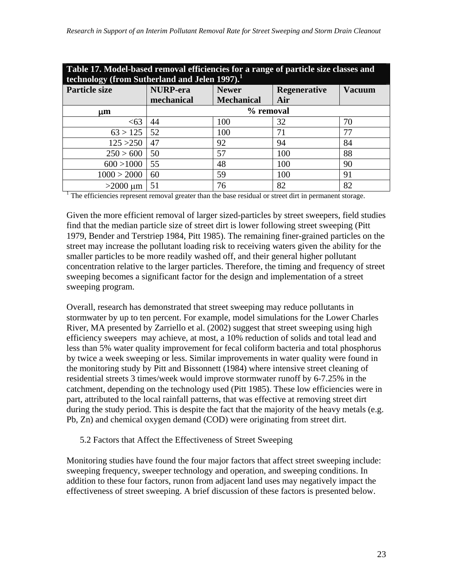| Table 17. Model-based removal efficiencies for a range of particle size classes and<br>technology (from Sutherland and Jelen 1997). <sup>1</sup> |                 |                                     |     |               |  |
|--------------------------------------------------------------------------------------------------------------------------------------------------|-----------------|-------------------------------------|-----|---------------|--|
| <b>Particle size</b>                                                                                                                             | <b>NURP-era</b> | <b>Newer</b><br><b>Regenerative</b> |     | <b>Vacuum</b> |  |
|                                                                                                                                                  | mechanical      | <b>Mechanical</b>                   | Air |               |  |
| um                                                                                                                                               |                 | % removal                           |     |               |  |
| <63                                                                                                                                              | 44              | 100                                 | 32  | 70            |  |
| 63 > 125                                                                                                                                         | 52              | 100                                 | 71  | 77            |  |
| 125 > 250                                                                                                                                        | 47              | 92                                  | 94  | 84            |  |
| 250 > 600                                                                                                                                        | 50              | 57                                  | 100 | 88            |  |
| 600 > 1000                                                                                                                                       | 55              | 48                                  | 100 | 90            |  |
| 1000 > 2000                                                                                                                                      | 60              | 59                                  | 100 | 91            |  |
| $>2000 \mu m$                                                                                                                                    | 51              | 76                                  | 82  | 82            |  |
| The efficiencies represent removal greater than the base residual or street dirt in permanent storage.                                           |                 |                                     |     |               |  |

Given the more efficient removal of larger sized-particles by street sweepers, field studies find that the median particle size of street dirt is lower following street sweeping (Pitt 1979, Bender and Terstriep 1984, Pitt 1985). The remaining finer-grained particles on the street may increase the pollutant loading risk to receiving waters given the ability for the smaller particles to be more readily washed off, and their general higher pollutant concentration relative to the larger particles. Therefore, the timing and frequency of street sweeping becomes a significant factor for the design and implementation of a street sweeping program.

Overall, research has demonstrated that street sweeping may reduce pollutants in stormwater by up to ten percent. For example, model simulations for the Lower Charles River, MA presented by Zarriello et al. (2002) suggest that street sweeping using high efficiency sweepers may achieve, at most, a 10% reduction of solids and total lead and less than 5% water quality improvement for fecal coliform bacteria and total phosphorus by twice a week sweeping or less. Similar improvements in water quality were found in the monitoring study by Pitt and Bissonnett (1984) where intensive street cleaning of residential streets 3 times/week would improve stormwater runoff by 6-7.25% in the catchment, depending on the technology used (Pitt 1985). These low efficiencies were in part, attributed to the local rainfall patterns, that was effective at removing street dirt during the study period. This is despite the fact that the majority of the heavy metals (e.g. Pb, Zn) and chemical oxygen demand (COD) were originating from street dirt.

#### 5.2 Factors that Affect the Effectiveness of Street Sweeping

Monitoring studies have found the four major factors that affect street sweeping include: sweeping frequency, sweeper technology and operation, and sweeping conditions. In addition to these four factors, runon from adjacent land uses may negatively impact the effectiveness of street sweeping. A brief discussion of these factors is presented below.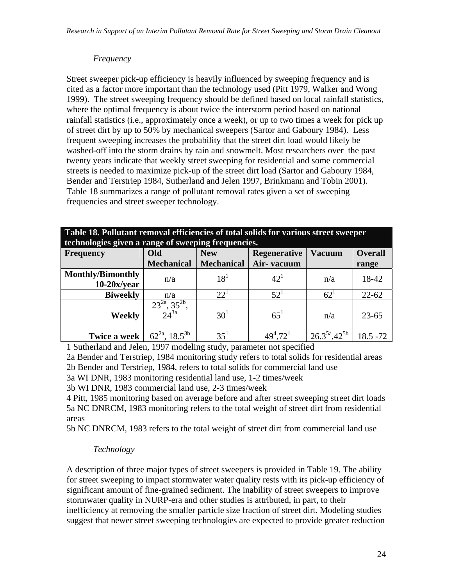#### *Frequency*

Street sweeper pick-up efficiency is heavily influenced by sweeping frequency and is cited as a factor more important than the technology used (Pitt 1979, Walker and Wong 1999). The street sweeping frequency should be defined based on local rainfall statistics, where the optimal frequency is about twice the interstorm period based on national rainfall statistics (i.e., approximately once a week), or up to two times a week for pick up of street dirt by up to 50% by mechanical sweepers (Sartor and Gaboury 1984). Less frequent sweeping increases the probability that the street dirt load would likely be washed-off into the storm drains by rain and snowmelt. Most researchers over the past twenty years indicate that weekly street sweeping for residential and some commercial streets is needed to maximize pick-up of the street dirt load (Sartor and Gaboury 1984, Bender and Terstriep 1984, Sutherland and Jelen 1997, Brinkmann and Tobin 2001). Table 18 summarizes a range of pollutant removal rates given a set of sweeping frequencies and street sweeper technology.

#### **Table 18. Pollutant removal efficiencies of total solids for various street sweeper technologies given a range of sweeping frequencies.**

|                          | $\mu$ recomputed given a range of sweeping inequencies. |                   |                     |                                |                |  |  |
|--------------------------|---------------------------------------------------------|-------------------|---------------------|--------------------------------|----------------|--|--|
| <b>Frequency</b>         | Old                                                     | <b>New</b>        | <b>Regenerative</b> | <b>Vacuum</b>                  | <b>Overall</b> |  |  |
|                          | <b>Mechanical</b>                                       | <b>Mechanical</b> | Air-vacuum          |                                | range          |  |  |
| <b>Monthly/Bimonthly</b> |                                                         | $18^1$            | $42^{1}$            |                                | 18-42          |  |  |
| $10-20x/year$            | n/a                                                     |                   |                     | n/a                            |                |  |  |
| <b>Biweekly</b>          | n/a                                                     | $22^{1}$          | 52 <sup>1</sup>     | $62^{\circ}$                   | $22 - 62$      |  |  |
| <b>Weekly</b>            | $\frac{23^{2a}, 35^{2b}}{24^{3a}}$                      | 30 <sup>1</sup>   | $65^1$              | n/a                            | $23 - 65$      |  |  |
| Twice a week             | $62^{2a}$ , $18.5^{3b}$                                 | 35 <sup>1</sup>   | $49^4.72^1$         | $26.3^{5a}$ , 42 <sup>5b</sup> | $18.5 - 72$    |  |  |

1 Sutherland and Jelen, 1997 modeling study, parameter not specified

2a Bender and Terstriep, 1984 monitoring study refers to total solids for residential areas 2b Bender and Terstriep, 1984, refers to total solids for commercial land use

3a WI DNR, 1983 monitoring residential land use, 1-2 times/week

3b WI DNR, 1983 commercial land use, 2-3 times/week

4 Pitt, 1985 monitoring based on average before and after street sweeping street dirt loads 5a NC DNRCM, 1983 monitoring refers to the total weight of street dirt from residential areas

5b NC DNRCM, 1983 refers to the total weight of street dirt from commercial land use

## *Technology*

A description of three major types of street sweepers is provided in Table 19. The ability for street sweeping to impact stormwater water quality rests with its pick-up efficiency of significant amount of fine-grained sediment. The inability of street sweepers to improve stormwater quality in NURP-era and other studies is attributed, in part, to their inefficiency at removing the smaller particle size fraction of street dirt. Modeling studies suggest that newer street sweeping technologies are expected to provide greater reduction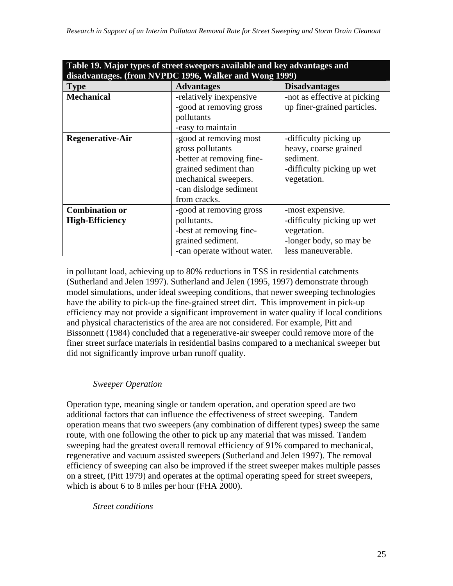| Table 19. Major types of street sweepers available and key advantages and<br>disadvantages. (from NVPDC 1996, Walker and Wong 1999) |                             |                              |  |  |  |  |  |
|-------------------------------------------------------------------------------------------------------------------------------------|-----------------------------|------------------------------|--|--|--|--|--|
| <b>Type</b>                                                                                                                         | <b>Advantages</b>           | <b>Disadvantages</b>         |  |  |  |  |  |
| <b>Mechanical</b>                                                                                                                   | -relatively inexpensive     | -not as effective at picking |  |  |  |  |  |
|                                                                                                                                     | -good at removing gross     | up finer-grained particles.  |  |  |  |  |  |
|                                                                                                                                     | pollutants                  |                              |  |  |  |  |  |
|                                                                                                                                     | -easy to maintain           |                              |  |  |  |  |  |
| <b>Regenerative-Air</b>                                                                                                             | -good at removing most      | -difficulty picking up       |  |  |  |  |  |
|                                                                                                                                     | gross pollutants            | heavy, coarse grained        |  |  |  |  |  |
|                                                                                                                                     | -better at removing fine-   | sediment.                    |  |  |  |  |  |
|                                                                                                                                     | grained sediment than       | -difficulty picking up wet   |  |  |  |  |  |
|                                                                                                                                     | mechanical sweepers.        | vegetation.                  |  |  |  |  |  |
|                                                                                                                                     | -can dislodge sediment      |                              |  |  |  |  |  |
|                                                                                                                                     | from cracks.                |                              |  |  |  |  |  |
| <b>Combination or</b>                                                                                                               | -good at removing gross     | -most expensive.             |  |  |  |  |  |
| <b>High-Efficiency</b>                                                                                                              | pollutants.                 | -difficulty picking up wet   |  |  |  |  |  |
|                                                                                                                                     | -best at removing fine-     | vegetation.                  |  |  |  |  |  |
|                                                                                                                                     | grained sediment.           | -longer body, so may be      |  |  |  |  |  |
|                                                                                                                                     | -can operate without water. | less maneuverable.           |  |  |  |  |  |

**Table 19. Major types of street sweepers available and key advantages and** 

in pollutant load, achieving up to 80% reductions in TSS in residential catchments (Sutherland and Jelen 1997). Sutherland and Jelen (1995, 1997) demonstrate through model simulations, under ideal sweeping conditions, that newer sweeping technologies have the ability to pick-up the fine-grained street dirt. This improvement in pick-up efficiency may not provide a significant improvement in water quality if local conditions and physical characteristics of the area are not considered. For example, Pitt and Bissonnett (1984) concluded that a regenerative-air sweeper could remove more of the finer street surface materials in residential basins compared to a mechanical sweeper but did not significantly improve urban runoff quality.

#### *Sweeper Operation*

Operation type, meaning single or tandem operation, and operation speed are two additional factors that can influence the effectiveness of street sweeping. Tandem operation means that two sweepers (any combination of different types) sweep the same route, with one following the other to pick up any material that was missed. Tandem sweeping had the greatest overall removal efficiency of 91% compared to mechanical, regenerative and vacuum assisted sweepers (Sutherland and Jelen 1997). The removal efficiency of sweeping can also be improved if the street sweeper makes multiple passes on a street, (Pitt 1979) and operates at the optimal operating speed for street sweepers, which is about 6 to 8 miles per hour (FHA 2000).

*Street conditions*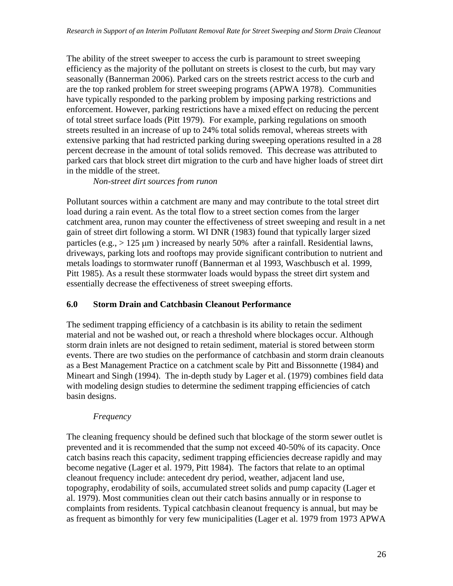The ability of the street sweeper to access the curb is paramount to street sweeping efficiency as the majority of the pollutant on streets is closest to the curb, but may vary seasonally (Bannerman 2006). Parked cars on the streets restrict access to the curb and are the top ranked problem for street sweeping programs (APWA 1978). Communities have typically responded to the parking problem by imposing parking restrictions and enforcement. However, parking restrictions have a mixed effect on reducing the percent of total street surface loads (Pitt 1979). For example, parking regulations on smooth streets resulted in an increase of up to 24% total solids removal, whereas streets with extensive parking that had restricted parking during sweeping operations resulted in a 28 percent decrease in the amount of total solids removed. This decrease was attributed to parked cars that block street dirt migration to the curb and have higher loads of street dirt in the middle of the street.

*Non-street dirt sources from runon* 

Pollutant sources within a catchment are many and may contribute to the total street dirt load during a rain event. As the total flow to a street section comes from the larger catchment area, runon may counter the effectiveness of street sweeping and result in a net gain of street dirt following a storm. WI DNR (1983) found that typically larger sized particles (e.g.,  $> 125 \mu m$ ) increased by nearly 50% after a rainfall. Residential lawns, driveways, parking lots and rooftops may provide significant contribution to nutrient and metals loadings to stormwater runoff (Bannerman et al 1993, Waschbusch et al. 1999, Pitt 1985). As a result these stormwater loads would bypass the street dirt system and essentially decrease the effectiveness of street sweeping efforts.

#### **6.0 Storm Drain and Catchbasin Cleanout Performance**

The sediment trapping efficiency of a catchbasin is its ability to retain the sediment material and not be washed out, or reach a threshold where blockages occur. Although storm drain inlets are not designed to retain sediment, material is stored between storm events. There are two studies on the performance of catchbasin and storm drain cleanouts as a Best Management Practice on a catchment scale by Pitt and Bissonnette (1984) and Mineart and Singh (1994). The in-depth study by Lager et al. (1979) combines field data with modeling design studies to determine the sediment trapping efficiencies of catch basin designs.

## *Frequency*

The cleaning frequency should be defined such that blockage of the storm sewer outlet is prevented and it is recommended that the sump not exceed 40-50% of its capacity. Once catch basins reach this capacity, sediment trapping efficiencies decrease rapidly and may become negative (Lager et al. 1979, Pitt 1984). The factors that relate to an optimal cleanout frequency include: antecedent dry period, weather, adjacent land use, topography, erodability of soils, accumulated street solids and pump capacity (Lager et al. 1979). Most communities clean out their catch basins annually or in response to complaints from residents. Typical catchbasin cleanout frequency is annual, but may be as frequent as bimonthly for very few municipalities (Lager et al. 1979 from 1973 APWA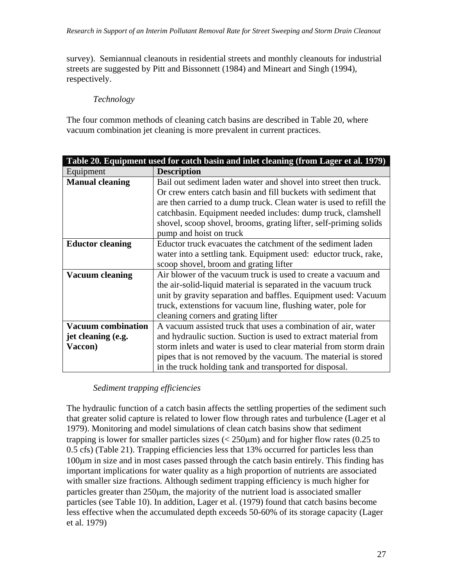survey). Semiannual cleanouts in residential streets and monthly cleanouts for industrial streets are suggested by Pitt and Bissonnett (1984) and Mineart and Singh (1994), respectively.

#### *Technology*

The four common methods of cleaning catch basins are described in Table 20, where vacuum combination jet cleaning is more prevalent in current practices.

|                           | Table 20. Equipment used for catch basin and inlet cleaning (from Lager et al. 1979) |  |  |  |  |  |
|---------------------------|--------------------------------------------------------------------------------------|--|--|--|--|--|
| Equipment                 | <b>Description</b>                                                                   |  |  |  |  |  |
| <b>Manual cleaning</b>    | Bail out sediment laden water and shovel into street then truck.                     |  |  |  |  |  |
|                           | Or crew enters catch basin and fill buckets with sediment that                       |  |  |  |  |  |
|                           | are then carried to a dump truck. Clean water is used to refill the                  |  |  |  |  |  |
|                           | catchbasin. Equipment needed includes: dump truck, clamshell                         |  |  |  |  |  |
|                           | shovel, scoop shovel, brooms, grating lifter, self-priming solids                    |  |  |  |  |  |
|                           | pump and hoist on truck                                                              |  |  |  |  |  |
| <b>Eductor cleaning</b>   | Eductor truck evacuates the catchment of the sediment laden                          |  |  |  |  |  |
|                           | water into a settling tank. Equipment used: eductor truck, rake,                     |  |  |  |  |  |
|                           | scoop shovel, broom and grating lifter                                               |  |  |  |  |  |
| <b>Vacuum cleaning</b>    | Air blower of the vacuum truck is used to create a vacuum and                        |  |  |  |  |  |
|                           | the air-solid-liquid material is separated in the vacuum truck                       |  |  |  |  |  |
|                           | unit by gravity separation and baffles. Equipment used: Vacuum                       |  |  |  |  |  |
|                           | truck, extenstions for vacuum line, flushing water, pole for                         |  |  |  |  |  |
|                           | cleaning corners and grating lifter                                                  |  |  |  |  |  |
| <b>Vacuum combination</b> | A vacuum assisted truck that uses a combination of air, water                        |  |  |  |  |  |
| jet cleaning (e.g.        | and hydraulic suction. Suction is used to extract material from                      |  |  |  |  |  |
| Vaccon)                   | storm inlets and water is used to clear material from storm drain                    |  |  |  |  |  |
|                           | pipes that is not removed by the vacuum. The material is stored                      |  |  |  |  |  |
|                           | in the truck holding tank and transported for disposal.                              |  |  |  |  |  |

#### *Sediment trapping efficiencies*

The hydraulic function of a catch basin affects the settling properties of the sediment such that greater solid capture is related to lower flow through rates and turbulence (Lager et al 1979). Monitoring and model simulations of clean catch basins show that sediment trapping is lower for smaller particles sizes  $\langle 250 \mu m \rangle$  and for higher flow rates (0.25 to 0.5 cfs) (Table 21). Trapping efficiencies less that 13% occurred for particles less than 100μm in size and in most cases passed through the catch basin entirely. This finding has important implications for water quality as a high proportion of nutrients are associated with smaller size fractions. Although sediment trapping efficiency is much higher for particles greater than 250μm, the majority of the nutrient load is associated smaller particles (see Table 10). In addition, Lager et al. (1979) found that catch basins become less effective when the accumulated depth exceeds 50-60% of its storage capacity (Lager et al. 1979)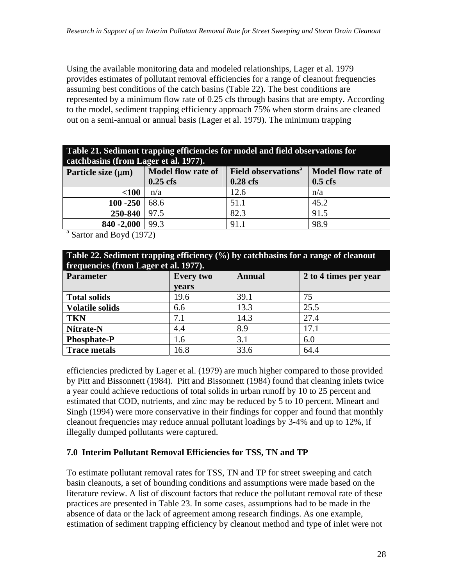Using the available monitoring data and modeled relationships, Lager et al. 1979 provides estimates of pollutant removal efficiencies for a range of cleanout frequencies assuming best conditions of the catch basins (Table 22). The best conditions are represented by a minimum flow rate of 0.25 cfs through basins that are empty. According to the model, sediment trapping efficiency approach 75% when storm drains are cleaned out on a semi-annual or annual basis (Lager et al. 1979). The minimum trapping

| Table 21. Sediment trapping efficiencies for model and field observations for |                                       |  |  |  |                                                                                                                                                    |  |  |
|-------------------------------------------------------------------------------|---------------------------------------|--|--|--|----------------------------------------------------------------------------------------------------------------------------------------------------|--|--|
|                                                                               | catchbasins (from Lager et al. 1977). |  |  |  |                                                                                                                                                    |  |  |
|                                                                               |                                       |  |  |  | $\mathbf{r}$ as $\mathbf{r}$ as $\mathbf{r}$ and $\mathbf{r}$ and $\mathbf{r}$ and $\mathbf{r}$ and $\mathbf{r}$ and $\mathbf{r}$ and $\mathbf{r}$ |  |  |

| Particle size $(\mu m)$             | Model flow rate of | <b>Field observations</b> <sup>a</sup> | <b>Model flow rate of</b> |  |  |  |  |
|-------------------------------------|--------------------|----------------------------------------|---------------------------|--|--|--|--|
|                                     | $0.25$ cfs         | $0.28$ cfs                             | $0.5$ cfs                 |  |  |  |  |
| $<$ 100                             | n/a                | 12.6                                   | n/a                       |  |  |  |  |
| $100 - 250$                         | 68.6               | 51.1                                   | 45.2                      |  |  |  |  |
| $250 - 840$   97.5                  |                    | 82.3                                   | 91.5                      |  |  |  |  |
| 840 - 2,000   99.3                  |                    | 91.1                                   | 98.9                      |  |  |  |  |
| <sup>a</sup> Sartor and Boyd (1972) |                    |                                        |                           |  |  |  |  |

| Table 22. Sediment trapping efficiency $(\%)$ by catchbasins for a range of cleanout<br>frequencies (from Lager et al. 1977). |                  |        |                       |  |  |  |
|-------------------------------------------------------------------------------------------------------------------------------|------------------|--------|-----------------------|--|--|--|
| <b>Parameter</b>                                                                                                              | <b>Every two</b> | Annual | 2 to 4 times per year |  |  |  |
|                                                                                                                               | vears            |        |                       |  |  |  |
| <b>Total solids</b>                                                                                                           | 19.6             | 39.1   | 75                    |  |  |  |
| <b>Volatile solids</b>                                                                                                        | 6.6              | 13.3   | 25.5                  |  |  |  |
| <b>TKN</b>                                                                                                                    | 7.1              | 14.3   | 27.4                  |  |  |  |
| Nitrate-N                                                                                                                     | 4.4              | 8.9    | 17.1                  |  |  |  |
| <b>Phosphate-P</b>                                                                                                            | 1.6              | 3.1    | 6.0                   |  |  |  |
| <b>Trace metals</b>                                                                                                           | 16.8             | 33.6   | 64.4                  |  |  |  |

efficiencies predicted by Lager et al. (1979) are much higher compared to those provided by Pitt and Bissonnett (1984). Pitt and Bissonnett (1984) found that cleaning inlets twice a year could achieve reductions of total solids in urban runoff by 10 to 25 percent and estimated that COD, nutrients, and zinc may be reduced by 5 to 10 percent. Mineart and Singh (1994) were more conservative in their findings for copper and found that monthly cleanout frequencies may reduce annual pollutant loadings by 3-4% and up to 12%, if illegally dumped pollutants were captured.

#### **7.0 Interim Pollutant Removal Efficiencies for TSS, TN and TP**

To estimate pollutant removal rates for TSS, TN and TP for street sweeping and catch basin cleanouts, a set of bounding conditions and assumptions were made based on the literature review. A list of discount factors that reduce the pollutant removal rate of these practices are presented in Table 23. In some cases, assumptions had to be made in the absence of data or the lack of agreement among research findings. As one example, estimation of sediment trapping efficiency by cleanout method and type of inlet were not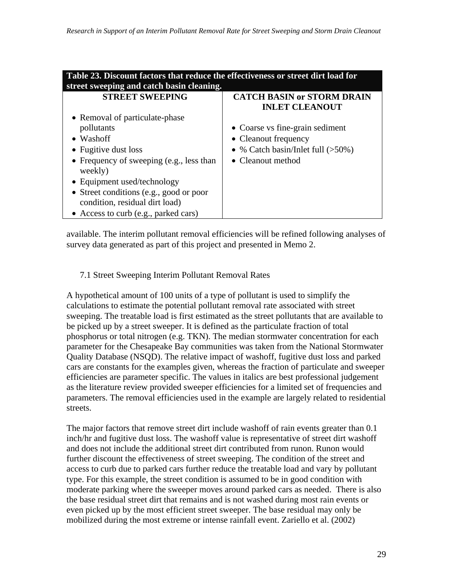| Table 23. Discount factors that reduce the effectiveness or street dirt load for<br>street sweeping and catch basin cleaning. |                                                            |  |  |  |  |  |
|-------------------------------------------------------------------------------------------------------------------------------|------------------------------------------------------------|--|--|--|--|--|
| <b>STREET SWEEPING</b>                                                                                                        | <b>CATCH BASIN or STORM DRAIN</b><br><b>INLET CLEANOUT</b> |  |  |  |  |  |
| • Removal of particulate-phase                                                                                                |                                                            |  |  |  |  |  |
| pollutants                                                                                                                    | • Coarse vs fine-grain sediment                            |  |  |  |  |  |
| $\bullet$ Washoff                                                                                                             | • Cleanout frequency                                       |  |  |  |  |  |
| • Fugitive dust loss                                                                                                          | • % Catch basin/Inlet full $(>50\%)$                       |  |  |  |  |  |
| • Frequency of sweeping (e.g., less than<br>weekly)                                                                           | • Cleanout method                                          |  |  |  |  |  |
| • Equipment used/technology                                                                                                   |                                                            |  |  |  |  |  |
| • Street conditions (e.g., good or poor<br>condition, residual dirt load)                                                     |                                                            |  |  |  |  |  |
| • Access to curb (e.g., parked cars)                                                                                          |                                                            |  |  |  |  |  |

available. The interim pollutant removal efficiencies will be refined following analyses of survey data generated as part of this project and presented in Memo 2.

## 7.1 Street Sweeping Interim Pollutant Removal Rates

A hypothetical amount of 100 units of a type of pollutant is used to simplify the calculations to estimate the potential pollutant removal rate associated with street sweeping. The treatable load is first estimated as the street pollutants that are available to be picked up by a street sweeper. It is defined as the particulate fraction of total phosphorus or total nitrogen (e.g. TKN). The median stormwater concentration for each parameter for the Chesapeake Bay communities was taken from the National Stormwater Quality Database (NSQD). The relative impact of washoff, fugitive dust loss and parked cars are constants for the examples given, whereas the fraction of particulate and sweeper efficiencies are parameter specific. The values in italics are best professional judgement as the literature review provided sweeper efficiencies for a limited set of frequencies and parameters. The removal efficiencies used in the example are largely related to residential streets.

The major factors that remove street dirt include washoff of rain events greater than 0.1 inch/hr and fugitive dust loss. The washoff value is representative of street dirt washoff and does not include the additional street dirt contributed from runon. Runon would further discount the effectiveness of street sweeping. The condition of the street and access to curb due to parked cars further reduce the treatable load and vary by pollutant type. For this example, the street condition is assumed to be in good condition with moderate parking where the sweeper moves around parked cars as needed. There is also the base residual street dirt that remains and is not washed during most rain events or even picked up by the most efficient street sweeper. The base residual may only be mobilized during the most extreme or intense rainfall event. Zariello et al. (2002)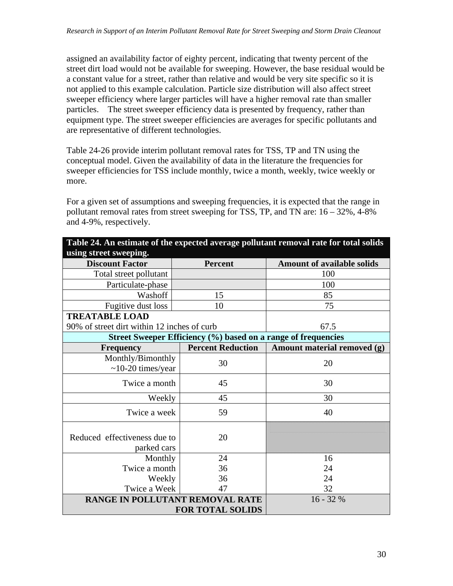assigned an availability factor of eighty percent, indicating that twenty percent of the street dirt load would not be available for sweeping. However, the base residual would be a constant value for a street, rather than relative and would be very site specific so it is not applied to this example calculation. Particle size distribution will also affect street sweeper efficiency where larger particles will have a higher removal rate than smaller particles. The street sweeper efficiency data is presented by frequency, rather than equipment type. The street sweeper efficiencies are averages for specific pollutants and are representative of different technologies.

Table 24-26 provide interim pollutant removal rates for TSS, TP and TN using the conceptual model. Given the availability of data in the literature the frequencies for sweeper efficiencies for TSS include monthly, twice a month, weekly, twice weekly or more.

For a given set of assumptions and sweeping frequencies, it is expected that the range in pollutant removal rates from street sweeping for TSS, TP, and TN are: 16 – 32%, 4-8% and 4-9%, respectively.

|                                              |                                                               | Table 24. An estimate of the expected average pollutant removal rate for total solids |  |
|----------------------------------------------|---------------------------------------------------------------|---------------------------------------------------------------------------------------|--|
| using street sweeping.                       |                                                               |                                                                                       |  |
| <b>Discount Factor</b>                       | <b>Percent</b>                                                | <b>Amount of available solids</b>                                                     |  |
| Total street pollutant                       |                                                               | 100                                                                                   |  |
| Particulate-phase                            |                                                               | 100                                                                                   |  |
| Washoff                                      | 15                                                            | 85                                                                                    |  |
| Fugitive dust loss                           | 10                                                            | 75                                                                                    |  |
| <b>TREATABLE LOAD</b>                        |                                                               |                                                                                       |  |
| 90% of street dirt within 12 inches of curb  |                                                               | 67.5                                                                                  |  |
|                                              | Street Sweeper Efficiency (%) based on a range of frequencies |                                                                                       |  |
| <b>Frequency</b>                             | <b>Percent Reduction</b>                                      | Amount material removed (g)                                                           |  |
| Monthly/Bimonthly<br>$\sim$ 10-20 times/year | 30                                                            | 20                                                                                    |  |
| Twice a month                                | 45                                                            | 30                                                                                    |  |
| Weekly                                       | 45                                                            | 30                                                                                    |  |
| Twice a week                                 | 59                                                            | 40                                                                                    |  |
| Reduced effectiveness due to<br>parked cars  | 20                                                            |                                                                                       |  |
| Monthly                                      | 24                                                            | 16                                                                                    |  |
| Twice a month                                | 36                                                            | 24                                                                                    |  |
| Weekly                                       | 36                                                            | 24                                                                                    |  |
| Twice a Week                                 | 47                                                            | 32                                                                                    |  |
| <b>RANGE IN POLLUTANT REMOVAL RATE</b>       |                                                               | $16 - 32%$                                                                            |  |
|                                              | <b>FOR TOTAL SOLIDS</b>                                       |                                                                                       |  |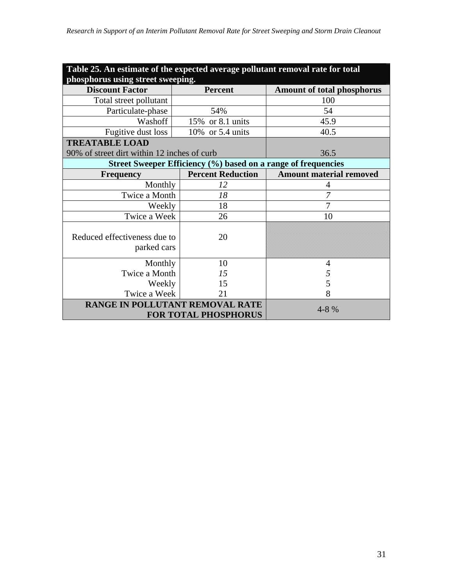| Table 25. An estimate of the expected average pollutant removal rate for total |                                                               |                                   |  |  |  |  |  |  |
|--------------------------------------------------------------------------------|---------------------------------------------------------------|-----------------------------------|--|--|--|--|--|--|
| phosphorus using street sweeping.                                              |                                                               |                                   |  |  |  |  |  |  |
| <b>Discount Factor</b>                                                         | <b>Percent</b>                                                | <b>Amount of total phosphorus</b> |  |  |  |  |  |  |
| Total street pollutant                                                         |                                                               | 100                               |  |  |  |  |  |  |
| Particulate-phase                                                              | 54%                                                           | 54                                |  |  |  |  |  |  |
| Washoff                                                                        | 15% or 8.1 units                                              | 45.9                              |  |  |  |  |  |  |
| Fugitive dust loss                                                             | 10% or 5.4 units                                              | 40.5                              |  |  |  |  |  |  |
| <b>TREATABLE LOAD</b>                                                          |                                                               |                                   |  |  |  |  |  |  |
| 90% of street dirt within 12 inches of curb                                    |                                                               | 36.5                              |  |  |  |  |  |  |
|                                                                                | Street Sweeper Efficiency (%) based on a range of frequencies |                                   |  |  |  |  |  |  |
| <b>Frequency</b>                                                               | <b>Percent Reduction</b>                                      | <b>Amount material removed</b>    |  |  |  |  |  |  |
| Monthly                                                                        | 12                                                            | 4                                 |  |  |  |  |  |  |
| Twice a Month                                                                  | 18                                                            | 7                                 |  |  |  |  |  |  |
| Weekly                                                                         | 18                                                            | 7                                 |  |  |  |  |  |  |
| Twice a Week                                                                   | 26                                                            | 10                                |  |  |  |  |  |  |
| Reduced effectiveness due to<br>parked cars                                    | 20                                                            |                                   |  |  |  |  |  |  |
| Monthly                                                                        | 10                                                            | 4                                 |  |  |  |  |  |  |
| Twice a Month                                                                  | 15                                                            | 5                                 |  |  |  |  |  |  |
| Weekly                                                                         | 15                                                            | 5                                 |  |  |  |  |  |  |
| Twice a Week                                                                   | 8                                                             |                                   |  |  |  |  |  |  |
| RANGE IN POLLUTANT REMOVAL RATE<br><b>FOR TOTAL PHOSPHORUS</b>                 | 4-8 %                                                         |                                   |  |  |  |  |  |  |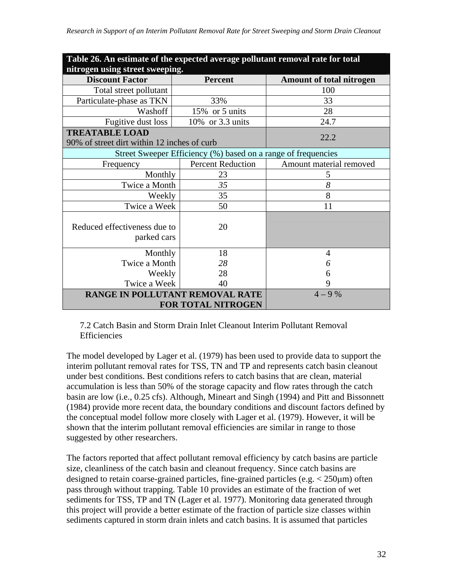| Table 26. An estimate of the expected average pollutant removal rate for total |                                                               |                                 |  |  |  |  |  |  |  |
|--------------------------------------------------------------------------------|---------------------------------------------------------------|---------------------------------|--|--|--|--|--|--|--|
|                                                                                | nitrogen using street sweeping.                               |                                 |  |  |  |  |  |  |  |
| <b>Discount Factor</b>                                                         | Percent                                                       | <b>Amount of total nitrogen</b> |  |  |  |  |  |  |  |
| Total street pollutant                                                         |                                                               | 100                             |  |  |  |  |  |  |  |
| Particulate-phase as TKN                                                       | 33%                                                           | 33                              |  |  |  |  |  |  |  |
| Washoff                                                                        | 15% or 5 units                                                | 28                              |  |  |  |  |  |  |  |
| Fugitive dust loss                                                             | 10% or 3.3 units                                              | 24.7                            |  |  |  |  |  |  |  |
| <b>TREATABLE LOAD</b>                                                          |                                                               | 22.2                            |  |  |  |  |  |  |  |
| 90% of street dirt within 12 inches of curb                                    |                                                               |                                 |  |  |  |  |  |  |  |
|                                                                                | Street Sweeper Efficiency (%) based on a range of frequencies |                                 |  |  |  |  |  |  |  |
| Frequency                                                                      | <b>Percent Reduction</b>                                      | Amount material removed         |  |  |  |  |  |  |  |
| Monthly                                                                        | 23                                                            | 5                               |  |  |  |  |  |  |  |
| Twice a Month                                                                  | 35                                                            | 8                               |  |  |  |  |  |  |  |
| Weekly                                                                         | 35                                                            | 8                               |  |  |  |  |  |  |  |
| Twice a Week                                                                   | 50                                                            | 11                              |  |  |  |  |  |  |  |
| Reduced effectiveness due to<br>parked cars                                    | 20                                                            |                                 |  |  |  |  |  |  |  |
| Monthly                                                                        | 18                                                            | $\overline{4}$                  |  |  |  |  |  |  |  |
| Twice a Month                                                                  | 28                                                            | 6                               |  |  |  |  |  |  |  |
| Weekly                                                                         | 28                                                            | 6                               |  |  |  |  |  |  |  |
| Twice a Week                                                                   | 40                                                            | 9                               |  |  |  |  |  |  |  |
| RANGE IN POLLUTANT REMOVAL RATE                                                | <b>FOR TOTAL NITROGEN</b>                                     | $4 - 9\%$                       |  |  |  |  |  |  |  |

7.2 Catch Basin and Storm Drain Inlet Cleanout Interim Pollutant Removal Efficiencies

The model developed by Lager et al. (1979) has been used to provide data to support the interim pollutant removal rates for TSS, TN and TP and represents catch basin cleanout under best conditions. Best conditions refers to catch basins that are clean, material accumulation is less than 50% of the storage capacity and flow rates through the catch basin are low (i.e., 0.25 cfs). Although, Mineart and Singh (1994) and Pitt and Bissonnett (1984) provide more recent data, the boundary conditions and discount factors defined by the conceptual model follow more closely with Lager et al. (1979). However, it will be shown that the interim pollutant removal efficiencies are similar in range to those suggested by other researchers.

The factors reported that affect pollutant removal efficiency by catch basins are particle size, cleanliness of the catch basin and cleanout frequency. Since catch basins are designed to retain coarse-grained particles, fine-grained particles (e.g.  $\lt$  250 $\mu$ m) often pass through without trapping. Table 10 provides an estimate of the fraction of wet sediments for TSS, TP and TN (Lager et al. 1977). Monitoring data generated through this project will provide a better estimate of the fraction of particle size classes within sediments captured in storm drain inlets and catch basins. It is assumed that particles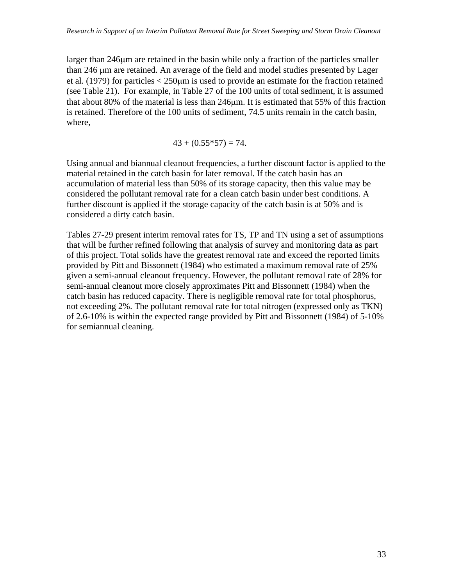larger than 246μm are retained in the basin while only a fraction of the particles smaller than 246 μm are retained. An average of the field and model studies presented by Lager et al. (1979) for particles < 250μm is used to provide an estimate for the fraction retained (see Table 21). For example, in Table 27 of the 100 units of total sediment, it is assumed that about 80% of the material is less than 246μm. It is estimated that 55% of this fraction is retained. Therefore of the 100 units of sediment, 74.5 units remain in the catch basin, where,

 $43 + (0.55*57) = 74.$ 

Using annual and biannual cleanout frequencies, a further discount factor is applied to the material retained in the catch basin for later removal. If the catch basin has an accumulation of material less than 50% of its storage capacity, then this value may be considered the pollutant removal rate for a clean catch basin under best conditions. A further discount is applied if the storage capacity of the catch basin is at 50% and is considered a dirty catch basin.

Tables 27-29 present interim removal rates for TS, TP and TN using a set of assumptions that will be further refined following that analysis of survey and monitoring data as part of this project. Total solids have the greatest removal rate and exceed the reported limits provided by Pitt and Bissonnett (1984) who estimated a maximum removal rate of 25% given a semi-annual cleanout frequency. However, the pollutant removal rate of 28% for semi-annual cleanout more closely approximates Pitt and Bissonnett (1984) when the catch basin has reduced capacity. There is negligible removal rate for total phosphorus, not exceeding 2%. The pollutant removal rate for total nitrogen (expressed only as TKN) of 2.6-10% is within the expected range provided by Pitt and Bissonnett (1984) of 5-10% for semiannual cleaning.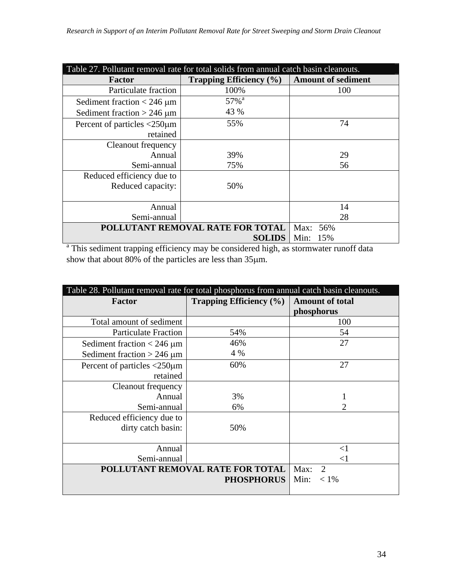| Table 27. Pollutant removal rate for total solids from annual catch basin cleanouts. |                                |                           |  |  |  |  |
|--------------------------------------------------------------------------------------|--------------------------------|---------------------------|--|--|--|--|
| <b>Factor</b>                                                                        | <b>Trapping Efficiency</b> (%) | <b>Amount of sediment</b> |  |  |  |  |
| Particulate fraction                                                                 | 100%                           | 100                       |  |  |  |  |
| Sediment fraction $<$ 246 $\mu$ m                                                    | 57% <sup>a</sup>               |                           |  |  |  |  |
| Sediment fraction $> 246 \mu m$                                                      | 43 %                           |                           |  |  |  |  |
| Percent of particles $\langle 250 \mu m$                                             | 55%                            | 74                        |  |  |  |  |
| retained                                                                             |                                |                           |  |  |  |  |
| Cleanout frequency                                                                   |                                |                           |  |  |  |  |
| Annual                                                                               | 39%                            | 29                        |  |  |  |  |
| Semi-annual                                                                          | 75%                            | 56                        |  |  |  |  |
| Reduced efficiency due to                                                            |                                |                           |  |  |  |  |
| Reduced capacity:                                                                    | 50%                            |                           |  |  |  |  |
|                                                                                      |                                |                           |  |  |  |  |
| Annual                                                                               |                                | 14                        |  |  |  |  |
| Semi-annual                                                                          | 28                             |                           |  |  |  |  |
| POLLUTANT REMOVAL RATE FOR TOTAL                                                     | Max: 56%                       |                           |  |  |  |  |
|                                                                                      | <b>SOLIDS</b>                  | Min:<br>15%               |  |  |  |  |

**SOLIDS** | Min: 15%<br>
<sup>a</sup> This sediment trapping efficiency may be considered high, as stormwater runoff data show that about 80% of the particles are less than 35μm.

| Table 28. Pollutant removal rate for total phosphorus from annual catch basin cleanouts. |                                     |                        |
|------------------------------------------------------------------------------------------|-------------------------------------|------------------------|
| <b>Factor</b>                                                                            | <b>Trapping Efficiency (%)</b>      | <b>Amount of total</b> |
|                                                                                          |                                     | phosphorus             |
| Total amount of sediment                                                                 |                                     | 100                    |
| <b>Particulate Fraction</b>                                                              | 54%                                 | 54                     |
| Sediment fraction $< 246 \mu m$                                                          | 46%                                 | 27                     |
| Sediment fraction $> 246 \mu m$                                                          | 4 %                                 |                        |
| Percent of particles $\langle 250 \mu m$                                                 | 60%                                 | 27                     |
| retained                                                                                 |                                     |                        |
| Cleanout frequency                                                                       |                                     |                        |
| Annual                                                                                   | 3%                                  |                        |
| Semi-annual                                                                              | 6%                                  | $\overline{2}$         |
| Reduced efficiency due to                                                                |                                     |                        |
| dirty catch basin:                                                                       | 50%                                 |                        |
|                                                                                          |                                     |                        |
| Annual                                                                                   |                                     | $<$ 1                  |
| Semi-annual                                                                              | $<$ 1                               |                        |
| POLLUTANT REMOVAL RATE FOR TOTAL                                                         | Max:<br>$\mathcal{D}_{\mathcal{L}}$ |                        |
|                                                                                          | <b>PHOSPHORUS</b>                   | Min:<br>$< 1\%$        |
|                                                                                          |                                     |                        |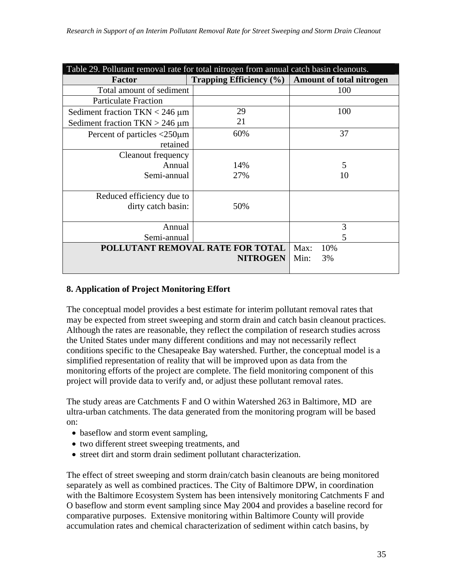| Table 29. Pollutant removal rate for total nitrogen from annual catch basin cleanouts. |                                    |      |                          |
|----------------------------------------------------------------------------------------|------------------------------------|------|--------------------------|
| <b>Factor</b>                                                                          | <b>Trapping Efficiency</b> $(\% )$ |      | Amount of total nitrogen |
| Total amount of sediment                                                               |                                    |      | 100                      |
| <b>Particulate Fraction</b>                                                            |                                    |      |                          |
| Sediment fraction TKN $<$ 246 $\mu$ m                                                  | 29                                 |      | 100                      |
| Sediment fraction $TKN > 246 \mu m$                                                    | 21                                 |      |                          |
| Percent of particles <250 $\mu$ m                                                      | 60%                                |      | 37                       |
| retained                                                                               |                                    |      |                          |
| Cleanout frequency                                                                     |                                    |      |                          |
| Annual                                                                                 | 14%                                |      | 5                        |
| Semi-annual                                                                            | 27%                                |      | 10                       |
|                                                                                        |                                    |      |                          |
| Reduced efficiency due to                                                              |                                    |      |                          |
| dirty catch basin:                                                                     | 50%                                |      |                          |
|                                                                                        |                                    |      |                          |
| Annual                                                                                 |                                    |      | 3                        |
| Semi-annual                                                                            |                                    |      | 5                        |
| POLLUTANT REMOVAL RATE FOR TOTAL                                                       | Max:                               | 10%  |                          |
|                                                                                        | <b>NITROGEN</b>                    | Min: | 3%                       |
|                                                                                        |                                    |      |                          |

#### **8. Application of Project Monitoring Effort**

The conceptual model provides a best estimate for interim pollutant removal rates that may be expected from street sweeping and storm drain and catch basin cleanout practices. Although the rates are reasonable, they reflect the compilation of research studies across the United States under many different conditions and may not necessarily reflect conditions specific to the Chesapeake Bay watershed. Further, the conceptual model is a simplified representation of reality that will be improved upon as data from the monitoring efforts of the project are complete. The field monitoring component of this project will provide data to verify and, or adjust these pollutant removal rates.

The study areas are Catchments F and O within Watershed 263 in Baltimore, MD are ultra-urban catchments. The data generated from the monitoring program will be based on:

- baseflow and storm event sampling,
- two different street sweeping treatments, and
- street dirt and storm drain sediment pollutant characterization.

The effect of street sweeping and storm drain/catch basin cleanouts are being monitored separately as well as combined practices. The City of Baltimore DPW, in coordination with the Baltimore Ecosystem System has been intensively monitoring Catchments F and O baseflow and storm event sampling since May 2004 and provides a baseline record for comparative purposes. Extensive monitoring within Baltimore County will provide accumulation rates and chemical characterization of sediment within catch basins, by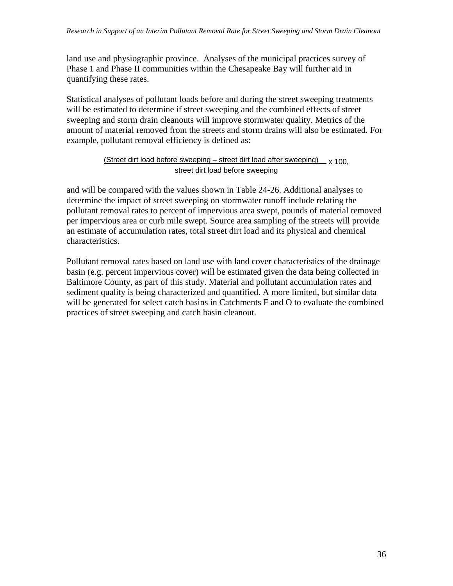land use and physiographic province. Analyses of the municipal practices survey of Phase 1 and Phase II communities within the Chesapeake Bay will further aid in quantifying these rates.

Statistical analyses of pollutant loads before and during the street sweeping treatments will be estimated to determine if street sweeping and the combined effects of street sweeping and storm drain cleanouts will improve stormwater quality. Metrics of the amount of material removed from the streets and storm drains will also be estimated. For example, pollutant removal efficiency is defined as:

#### (Street dirt load before sweeping – street dirt load after sweeping)  $_{\text{y 100}}$ street dirt load before sweeping

and will be compared with the values shown in Table 24-26. Additional analyses to determine the impact of street sweeping on stormwater runoff include relating the pollutant removal rates to percent of impervious area swept, pounds of material removed per impervious area or curb mile swept. Source area sampling of the streets will provide an estimate of accumulation rates, total street dirt load and its physical and chemical characteristics.

Pollutant removal rates based on land use with land cover characteristics of the drainage basin (e.g. percent impervious cover) will be estimated given the data being collected in Baltimore County, as part of this study. Material and pollutant accumulation rates and sediment quality is being characterized and quantified. A more limited, but similar data will be generated for select catch basins in Catchments F and O to evaluate the combined practices of street sweeping and catch basin cleanout.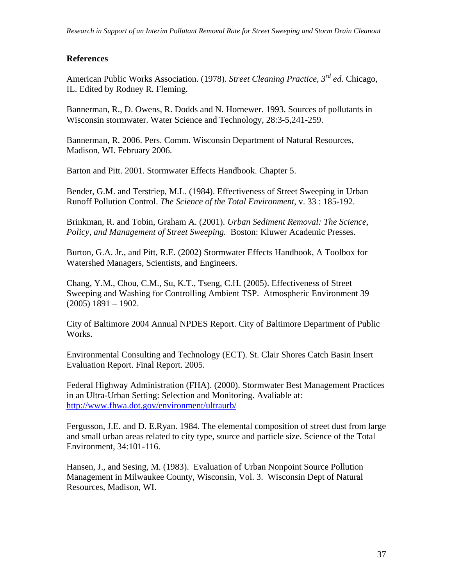#### **References**

American Public Works Association. (1978). *Street Cleaning Practice, 3rd ed.* Chicago, IL. Edited by Rodney R. Fleming.

Bannerman, R., D. Owens, R. Dodds and N. Hornewer. 1993. Sources of pollutants in Wisconsin stormwater. Water Science and Technology, 28:3-5,241-259.

Bannerman, R. 2006. Pers. Comm. Wisconsin Department of Natural Resources, Madison, WI. February 2006.

Barton and Pitt. 2001. Stormwater Effects Handbook. Chapter 5.

Bender, G.M. and Terstriep, M.L. (1984). Effectiveness of Street Sweeping in Urban Runoff Pollution Control. *The Science of the Total Environment*, v. 33 : 185-192.

Brinkman, R. and Tobin, Graham A. (2001). *Urban Sediment Removal: The Science, Policy, and Management of Street Sweeping.* Boston: Kluwer Academic Presses.

Burton, G.A. Jr., and Pitt, R.E. (2002) Stormwater Effects Handbook, A Toolbox for Watershed Managers, Scientists, and Engineers.

Chang, Y.M., Chou, C.M., Su, K.T., Tseng, C.H. (2005). Effectiveness of Street Sweeping and Washing for Controlling Ambient TSP. Atmospheric Environment 39  $(2005)$  1891 – 1902.

City of Baltimore 2004 Annual NPDES Report. City of Baltimore Department of Public Works.

Environmental Consulting and Technology (ECT). St. Clair Shores Catch Basin Insert Evaluation Report. Final Report. 2005.

Federal Highway Administration (FHA). (2000). Stormwater Best Management Practices in an Ultra-Urban Setting: Selection and Monitoring. Avaliable at: <http://www.fhwa.dot.gov/environment/ultraurb/>

Fergusson, J.E. and D. E.Ryan. 1984. The elemental composition of street dust from large and small urban areas related to city type, source and particle size. Science of the Total Environment, 34:101-116.

Hansen, J., and Sesing, M. (1983). Evaluation of Urban Nonpoint Source Pollution Management in Milwaukee County, Wisconsin, Vol. 3. Wisconsin Dept of Natural Resources, Madison, WI.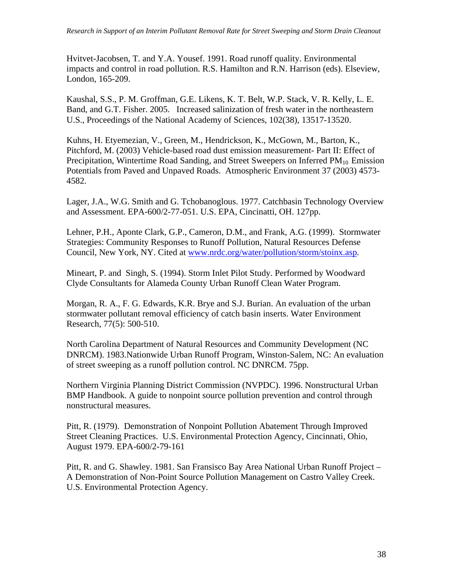Hvitvet-Jacobsen, T. and Y.A. Yousef. 1991. Road runoff quality. Environmental impacts and control in road pollution. R.S. Hamilton and R.N. Harrison (eds). Elseview, London, 165-209.

Kaushal, S.S., P. M. Groffman, G.E. Likens, K. T. Belt, W.P. Stack, V. R. Kelly, L. E. Band, and G.T. Fisher. 2005. Increased salinization of fresh water in the northeastern U.S., Proceedings of the National Academy of Sciences, 102(38), 13517-13520.

Kuhns, H. Etyemezian, V., Green, M., Hendrickson, K., McGown, M., Barton, K., Pitchford, M. (2003) Vehicle-based road dust emission measurement- Part II: Effect of Precipitation, Wintertime Road Sanding, and Street Sweepers on Inferred  $PM_{10}$  Emission Potentials from Paved and Unpaved Roads. Atmospheric Environment 37 (2003) 4573- 4582.

Lager, J.A., W.G. Smith and G. Tchobanoglous. 1977. Catchbasin Technology Overview and Assessment. EPA-600/2-77-051. U.S. EPA, Cincinatti, OH. 127pp.

Lehner, P.H., Aponte Clark, G.P., Cameron, D.M., and Frank, A.G. (1999). Stormwater Strategies: Community Responses to Runoff Pollution, Natural Resources Defense Council, New York, NY. Cited at [www.nrdc.org/water/pollution/storm/stoinx.asp.](http://www.nrdc.org/water/pollution/storm/stoinx.asp)

Mineart, P. and Singh, S. (1994). Storm Inlet Pilot Study. Performed by Woodward Clyde Consultants for Alameda County Urban Runoff Clean Water Program.

Morgan, R. A., F. G. Edwards, K.R. Brye and S.J. Burian. An evaluation of the urban stormwater pollutant removal efficiency of catch basin inserts. Water Environment Research, 77(5): 500-510.

North Carolina Department of Natural Resources and Community Development (NC DNRCM). 1983.Nationwide Urban Runoff Program, Winston-Salem, NC: An evaluation of street sweeping as a runoff pollution control. NC DNRCM. 75pp.

Northern Virginia Planning District Commission (NVPDC). 1996. Nonstructural Urban BMP Handbook. A guide to nonpoint source pollution prevention and control through nonstructural measures.

Pitt, R. (1979). Demonstration of Nonpoint Pollution Abatement Through Improved Street Cleaning Practices. U.S. Environmental Protection Agency, Cincinnati, Ohio, August 1979. EPA-600/2-79-161

Pitt, R. and G. Shawley. 1981. San Fransisco Bay Area National Urban Runoff Project – A Demonstration of Non-Point Source Pollution Management on Castro Valley Creek. U.S. Environmental Protection Agency.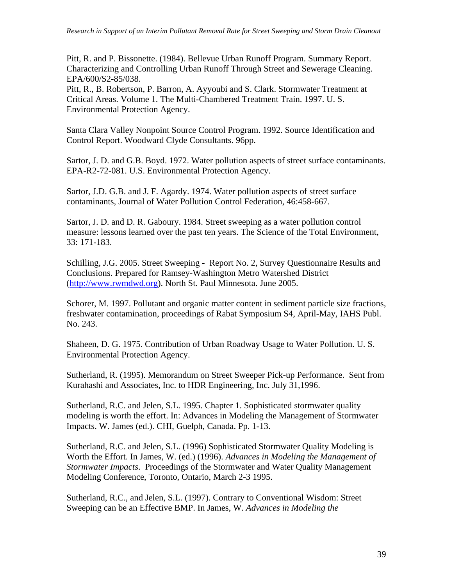Pitt, R. and P. Bissonette. (1984). Bellevue Urban Runoff Program. Summary Report. Characterizing and Controlling Urban Runoff Through Street and Sewerage Cleaning. EPA/600/S2-85/038.

Pitt, R., B. Robertson, P. Barron, A. Ayyoubi and S. Clark. Stormwater Treatment at Critical Areas. Volume 1. The Multi-Chambered Treatment Train. 1997. U. S. Environmental Protection Agency.

Santa Clara Valley Nonpoint Source Control Program. 1992. Source Identification and Control Report. Woodward Clyde Consultants. 96pp.

Sartor, J. D. and G.B. Boyd. 1972. Water pollution aspects of street surface contaminants. EPA-R2-72-081. U.S. Environmental Protection Agency.

Sartor, J.D. G.B. and J. F. Agardy. 1974. Water pollution aspects of street surface contaminants, Journal of Water Pollution Control Federation, 46:458-667.

Sartor, J. D. and D. R. Gaboury. 1984. Street sweeping as a water pollution control measure: lessons learned over the past ten years. The Science of the Total Environment, 33: 171-183.

Schilling, J.G. 2005. Street Sweeping - Report No. 2, Survey Questionnaire Results and Conclusions. Prepared for Ramsey-Washington Metro Watershed District ([http://www.rwmdwd.org](http://www.rwmdwd.org/)). North St. Paul Minnesota. June 2005.

Schorer, M. 1997. Pollutant and organic matter content in sediment particle size fractions, freshwater contamination, proceedings of Rabat Symposium S4, April-May, IAHS Publ. No. 243.

Shaheen, D. G. 1975. Contribution of Urban Roadway Usage to Water Pollution. U. S. Environmental Protection Agency.

Sutherland, R. (1995). Memorandum on Street Sweeper Pick-up Performance. Sent from Kurahashi and Associates, Inc. to HDR Engineering, Inc. July 31,1996.

Sutherland, R.C. and Jelen, S.L. 1995. Chapter 1. Sophisticated stormwater quality modeling is worth the effort. In: Advances in Modeling the Management of Stormwater Impacts. W. James (ed.). CHI, Guelph, Canada. Pp. 1-13.

Sutherland, R.C. and Jelen, S.L. (1996) Sophisticated Stormwater Quality Modeling is Worth the Effort. In James, W. (ed.) (1996). *Advances in Modeling the Management of Stormwater Impacts*. Proceedings of the Stormwater and Water Quality Management Modeling Conference, Toronto, Ontario, March 2-3 1995.

Sutherland, R.C., and Jelen, S.L. (1997). Contrary to Conventional Wisdom: Street Sweeping can be an Effective BMP. In James, W. *Advances in Modeling the*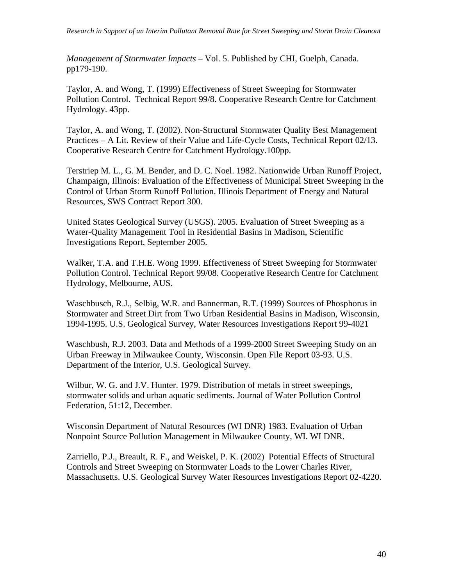*Management of Stormwater Impacts* – Vol. 5. Published by CHI, Guelph, Canada. pp179-190.

Taylor, A. and Wong, T. (1999) Effectiveness of Street Sweeping for Stormwater Pollution Control. Technical Report 99/8. Cooperative Research Centre for Catchment Hydrology. 43pp.

Taylor, A. and Wong, T. (2002). Non-Structural Stormwater Quality Best Management Practices – A Lit. Review of their Value and Life-Cycle Costs, Technical Report 02/13. Cooperative Research Centre for Catchment Hydrology.100pp.

Terstriep M. L., G. M. Bender, and D. C. Noel. 1982. Nationwide Urban Runoff Project, Champaign, Illinois: Evaluation of the Effectiveness of Municipal Street Sweeping in the Control of Urban Storm Runoff Pollution. Illinois Department of Energy and Natural Resources, SWS Contract Report 300.

United States Geological Survey (USGS). 2005. Evaluation of Street Sweeping as a Water-Quality Management Tool in Residential Basins in Madison, Scientific Investigations Report, September 2005.

Walker, T.A. and T.H.E. Wong 1999. Effectiveness of Street Sweeping for Stormwater Pollution Control. Technical Report 99/08. Cooperative Research Centre for Catchment Hydrology, Melbourne, AUS.

Waschbusch, R.J., Selbig, W.R. and Bannerman, R.T. (1999) Sources of Phosphorus in Stormwater and Street Dirt from Two Urban Residential Basins in Madison, Wisconsin, 1994-1995. U.S. Geological Survey, Water Resources Investigations Report 99-4021

Waschbush, R.J. 2003. Data and Methods of a 1999-2000 Street Sweeping Study on an Urban Freeway in Milwaukee County, Wisconsin. Open File Report 03-93. U.S. Department of the Interior, U.S. Geological Survey.

Wilbur, W. G. and J.V. Hunter. 1979. Distribution of metals in street sweepings, stormwater solids and urban aquatic sediments. Journal of Water Pollution Control Federation, 51:12, December.

Wisconsin Department of Natural Resources (WI DNR) 1983. Evaluation of Urban Nonpoint Source Pollution Management in Milwaukee County, WI. WI DNR.

Zarriello, P.J., Breault, R. F., and Weiskel, P. K. (2002) Potential Effects of Structural Controls and Street Sweeping on Stormwater Loads to the Lower Charles River, Massachusetts. U.S. Geological Survey Water Resources Investigations Report 02-4220.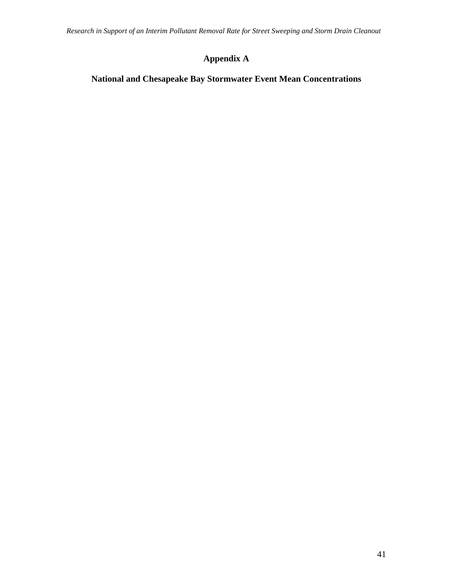## **Appendix A**

## **National and Chesapeake Bay Stormwater Event Mean Concentrations**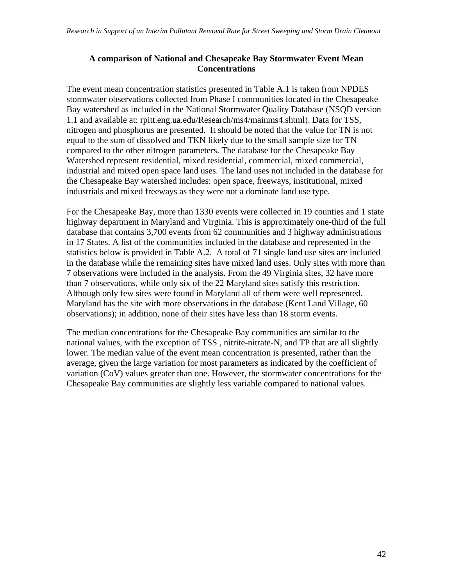#### **A comparison of National and Chesapeake Bay Stormwater Event Mean Concentrations**

The event mean concentration statistics presented in Table A.1 is taken from NPDES stormwater observations collected from Phase I communities located in the Chesapeake Bay watershed as included in the National Stormwater Quality Database (NSQD version 1.1 and available at: rpitt.eng.ua.edu/Research/ms4/mainms4.shtml). Data for TSS, nitrogen and phosphorus are presented. It should be noted that the value for TN is not equal to the sum of dissolved and TKN likely due to the small sample size for TN compared to the other nitrogen parameters. The database for the Chesapeake Bay Watershed represent residential, mixed residential, commercial, mixed commercial, industrial and mixed open space land uses. The land uses not included in the database for the Chesapeake Bay watershed includes: open space, freeways, institutional, mixed industrials and mixed freeways as they were not a dominate land use type.

For the Chesapeake Bay, more than 1330 events were collected in 19 counties and 1 state highway department in Maryland and Virginia. This is approximately one-third of the full database that contains 3,700 events from 62 communities and 3 highway administrations in 17 States. A list of the communities included in the database and represented in the statistics below is provided in Table A.2. A total of 71 single land use sites are included in the database while the remaining sites have mixed land uses. Only sites with more than 7 observations were included in the analysis. From the 49 Virginia sites, 32 have more than 7 observations, while only six of the 22 Maryland sites satisfy this restriction. Although only few sites were found in Maryland all of them were well represented. Maryland has the site with more observations in the database (Kent Land Village, 60 observations); in addition, none of their sites have less than 18 storm events.

The median concentrations for the Chesapeake Bay communities are similar to the national values, with the exception of TSS , nitrite-nitrate-N, and TP that are all slightly lower. The median value of the event mean concentration is presented, rather than the average, given the large variation for most parameters as indicated by the coefficient of variation (CoV) values greater than one. However, the stormwater concentrations for the Chesapeake Bay communities are slightly less variable compared to national values.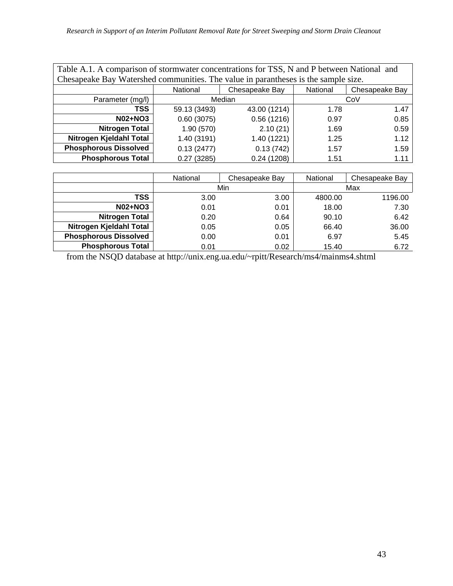| Table A.1. A comparison of stormwater concentrations for TSS, N and P between National and<br>Chesapeake Bay Watershed communities. The value in parantheses is the sample size. |              |              |      |      |  |  |  |  |
|----------------------------------------------------------------------------------------------------------------------------------------------------------------------------------|--------------|--------------|------|------|--|--|--|--|
| National<br>National<br>Chesapeake Bay<br>Chesapeake Bay                                                                                                                         |              |              |      |      |  |  |  |  |
| Parameter (mg/l)                                                                                                                                                                 |              | Median       |      | CoV  |  |  |  |  |
| <b>TSS</b>                                                                                                                                                                       | 59.13 (3493) | 43.00 (1214) | 1.78 | 1.47 |  |  |  |  |
| <b>N02+NO3</b>                                                                                                                                                                   | 0.60(3075)   | 0.56(1216)   | 0.97 | 0.85 |  |  |  |  |
| <b>Nitrogen Total</b>                                                                                                                                                            | 1.90(570)    | 2.10(21)     | 1.69 | 0.59 |  |  |  |  |
| Nitrogen Kjeldahl Total                                                                                                                                                          | 1.40 (3191)  | 1.40 (1221)  | 1.25 | 1.12 |  |  |  |  |
| <b>Phosphorous Dissolved</b>                                                                                                                                                     | 0.13(2477)   | 0.13(742)    | 1.57 | 1.59 |  |  |  |  |
| <b>Phosphorous Total</b>                                                                                                                                                         | 0.27(3285)   | 0.24(1208)   | 1.51 | 1.11 |  |  |  |  |

|                              | National | Chesapeake Bay | National | Chesapeake Bay |  |
|------------------------------|----------|----------------|----------|----------------|--|
|                              |          | Min            |          | Max            |  |
| TSS                          | 3.00     | 3.00           | 4800.00  | 1196.00        |  |
| <b>N02+NO3</b>               | 0.01     | 0.01           | 18.00    | 7.30           |  |
| <b>Nitrogen Total</b>        | 0.20     | 0.64           | 90.10    | 6.42           |  |
| Nitrogen Kjeldahl Total      | 0.05     | 0.05           | 66.40    | 36.00          |  |
| <b>Phosphorous Dissolved</b> | 0.00     | 0.01           | 6.97     | 5.45           |  |
| <b>Phosphorous Total</b>     | 0.01     | 0.02           | 15.40    | 6.72           |  |

from the NSQD database at http://unix.eng.ua.edu/~rpitt/Research/ms4/mainms4.shtml